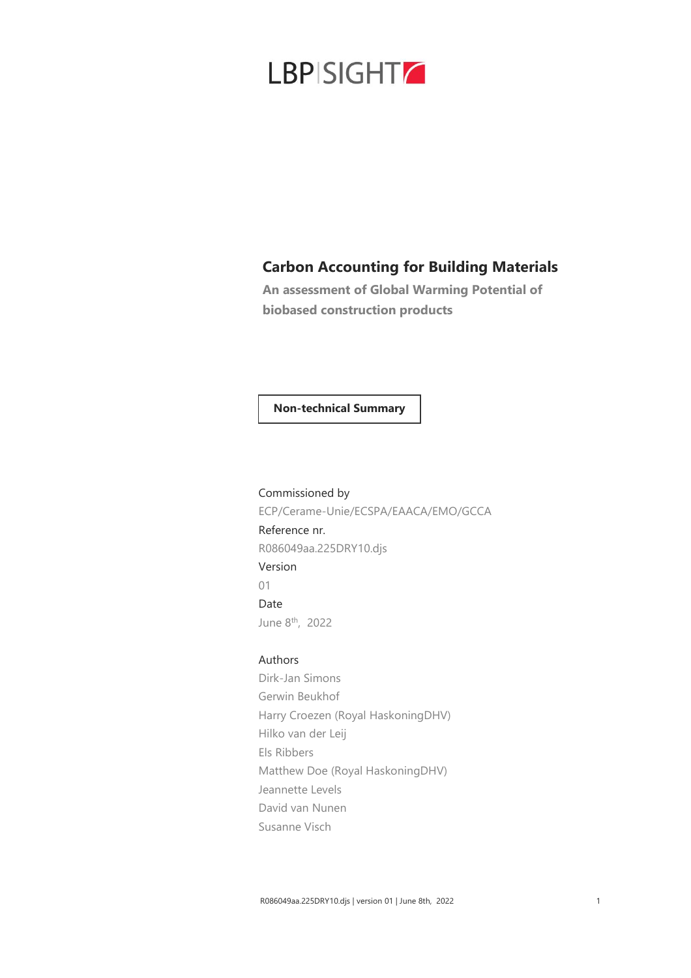

### **Carbon Accounting for Building Materials**

**An assessment of Global Warming Potential of biobased construction products**

### **Non-technical Summary**

Commissioned by ECP/Cerame-Unie/ECSPA/EAACA/EMO/GCCA Reference nr. R086049aa.225DRY10.djs Version 01 Date June 8th , 2022

### Authors

Dirk-Jan Simons Gerwin Beukhof Harry Croezen (Royal HaskoningDHV) Hilko van der Leij Els Ribbers Matthew Doe (Royal HaskoningDHV) Jeannette Levels David van Nunen Susanne Visch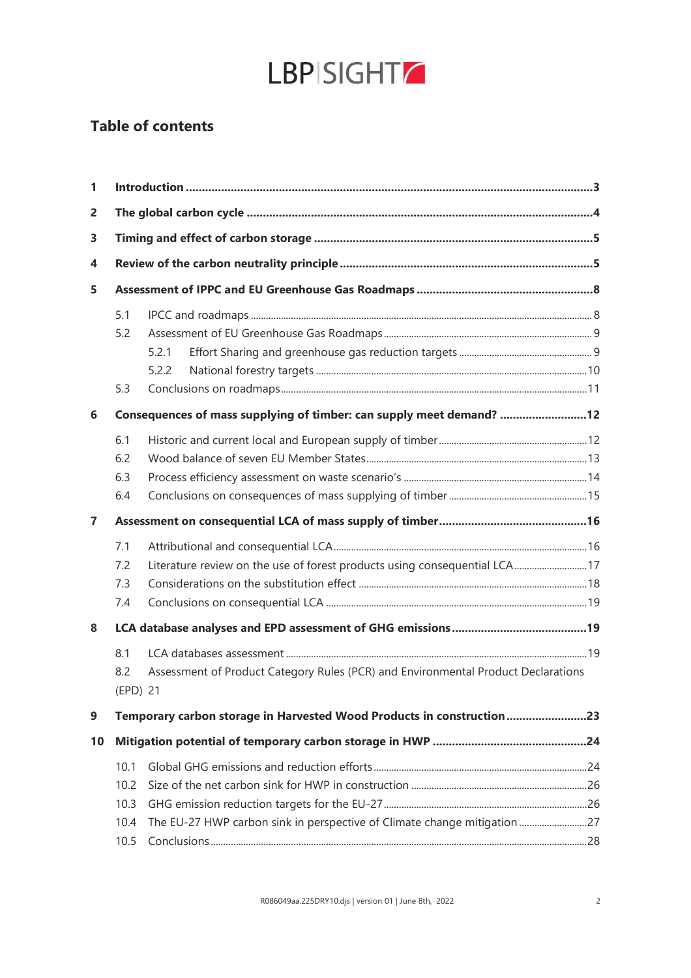

## **Table of contents**

| 1        |      |                                                                                   |  |
|----------|------|-----------------------------------------------------------------------------------|--|
| 2        |      |                                                                                   |  |
| 3        |      |                                                                                   |  |
| 4        |      |                                                                                   |  |
| 5        |      |                                                                                   |  |
|          | 5.1  |                                                                                   |  |
|          | 5.2  |                                                                                   |  |
|          |      | 5.2.1                                                                             |  |
|          |      | 5.2.2                                                                             |  |
|          | 5.3  |                                                                                   |  |
| 6        |      | Consequences of mass supplying of timber: can supply meet demand? 12              |  |
|          | 6.1  |                                                                                   |  |
|          | 6.2  |                                                                                   |  |
|          | 6.3  |                                                                                   |  |
|          | 6.4  |                                                                                   |  |
| 7        |      |                                                                                   |  |
|          | 7.1  |                                                                                   |  |
|          | 7.2  | Literature review on the use of forest products using consequential LCA17         |  |
|          | 7.3  |                                                                                   |  |
|          | 7.4  |                                                                                   |  |
| 8        |      |                                                                                   |  |
|          | 8.1  |                                                                                   |  |
|          | 8.2  | Assessment of Product Category Rules (PCR) and Environmental Product Declarations |  |
| (EPD) 21 |      |                                                                                   |  |
| 9        |      | Temporary carbon storage in Harvested Wood Products in construction23             |  |
| 10       |      |                                                                                   |  |
|          | 10.1 |                                                                                   |  |
|          | 10.2 |                                                                                   |  |
|          | 10.3 |                                                                                   |  |
|          | 10.4 | The EU-27 HWP carbon sink in perspective of Climate change mitigation27           |  |
|          | 10.5 |                                                                                   |  |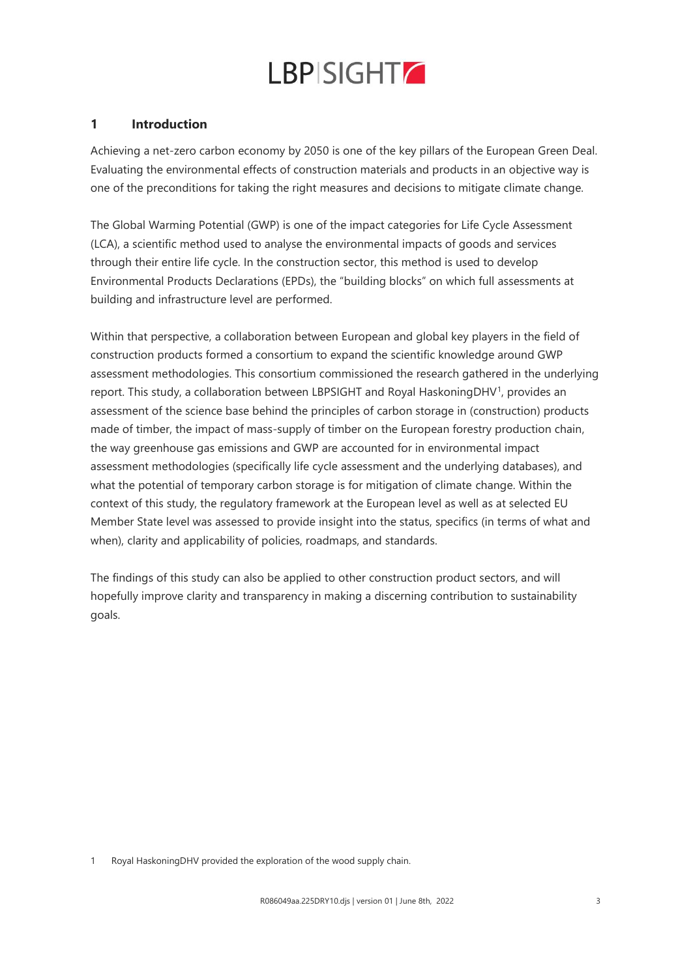

### **1 Introduction**

Achieving a net-zero carbon economy by 2050 is one of the key pillars of the European Green Deal. Evaluating the environmental effects of construction materials and products in an objective way is one of the preconditions for taking the right measures and decisions to mitigate climate change.

The Global Warming Potential (GWP) is one of the impact categories for Life Cycle Assessment (LCA), a scientific method used to analyse the environmental impacts of goods and services through their entire life cycle. In the construction sector, this method is used to develop Environmental Products Declarations (EPDs), the "building blocks" on which full assessments at building and infrastructure level are performed.

Within that perspective, a collaboration between European and global key players in the field of construction products formed a consortium to expand the scientific knowledge around GWP assessment methodologies. This consortium commissioned the research gathered in the underlying report. This study, a collaboration between LBPSIGHT and Royal HaskoningDHV<sup>1</sup>, provides an assessment of the science base behind the principles of carbon storage in (construction) products made of timber, the impact of mass-supply of timber on the European forestry production chain, the way greenhouse gas emissions and GWP are accounted for in environmental impact assessment methodologies (specifically life cycle assessment and the underlying databases), and what the potential of temporary carbon storage is for mitigation of climate change. Within the context of this study, the regulatory framework at the European level as well as at selected EU Member State level was assessed to provide insight into the status, specifics (in terms of what and when), clarity and applicability of policies, roadmaps, and standards.

The findings of this study can also be applied to other construction product sectors, and will hopefully improve clarity and transparency in making a discerning contribution to sustainability goals.

1 Royal HaskoningDHV provided the exploration of the wood supply chain.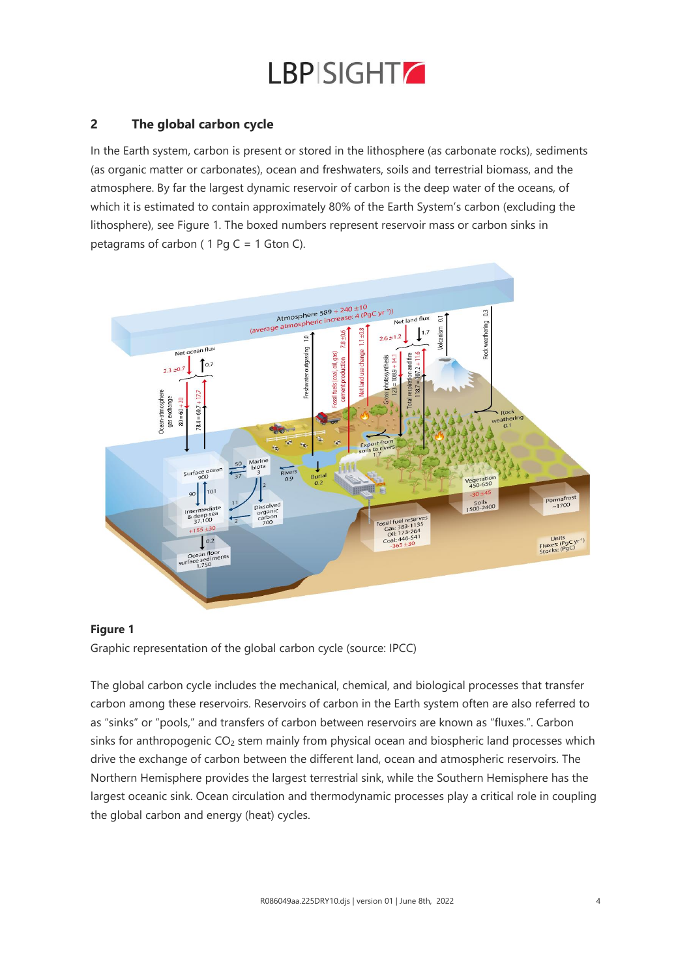

### **2 The global carbon cycle**

In the Earth system, carbon is present or stored in the lithosphere (as carbonate rocks), sediments (as organic matter or carbonates), ocean and freshwaters, soils and terrestrial biomass, and the atmosphere. By far the largest dynamic reservoir of carbon is the deep water of the oceans, of which it is estimated to contain approximately 80% of the Earth System's carbon (excluding the lithosphere), see Figure 1. The boxed numbers represent reservoir mass or carbon sinks in petagrams of carbon (  $1$  Pg C =  $1$  Gton C).

![](_page_3_Figure_3.jpeg)

### **Figure 1**

Graphic representation of the global carbon cycle (source: IPCC)

The global carbon cycle includes the mechanical, chemical, and biological processes that transfer carbon among these reservoirs. Reservoirs of carbon in the Earth system often are also referred to as "sinks" or "pools," and transfers of carbon between reservoirs are known as "fluxes.". Carbon sinks for anthropogenic CO<sub>2</sub> stem mainly from physical ocean and biospheric land processes which drive the exchange of carbon between the different land, ocean and atmospheric reservoirs. The Northern Hemisphere provides the largest terrestrial sink, while the Southern Hemisphere has the largest oceanic sink. Ocean circulation and thermodynamic processes play a critical role in coupling the global carbon and energy (heat) cycles.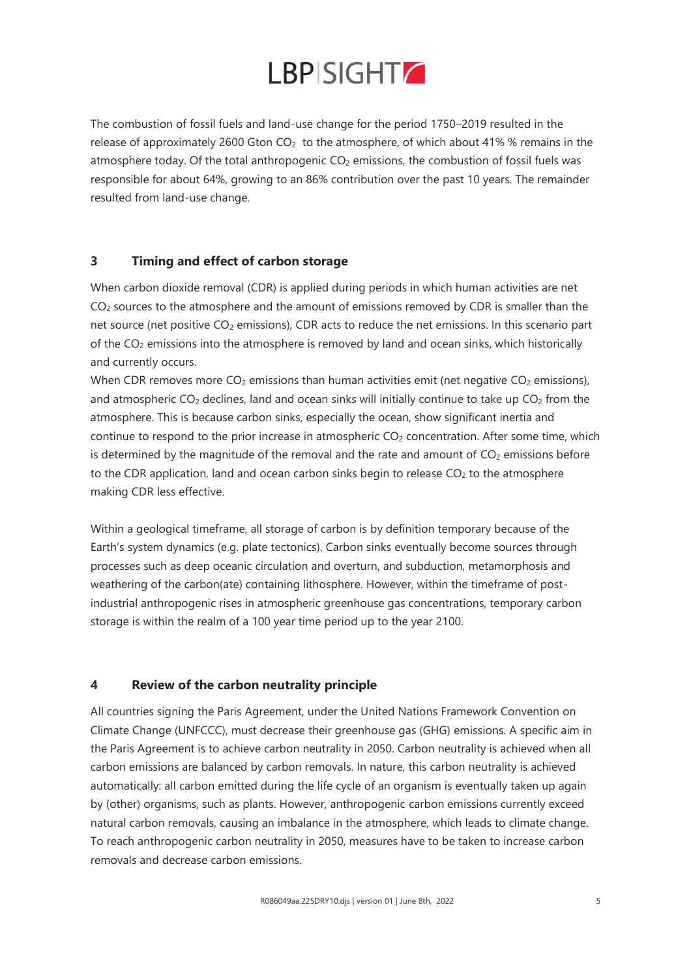The combustion of fossil fuels and land-use change for the period 1750–2019 resulted in the release of approximately 2600 Gton  $CO<sub>2</sub>$  to the atmosphere, of which about 41% % remains in the atmosphere today. Of the total anthropogenic CO<sub>2</sub> emissions, the combustion of fossil fuels was responsible for about 64%, growing to an 86% contribution over the past 10 years. The remainder resulted from land-use change.

### **3 Timing and effect of carbon storage**

When carbon dioxide removal (CDR) is applied during periods in which human activities are net  $CO<sub>2</sub>$  sources to the atmosphere and the amount of emissions removed by CDR is smaller than the net source (net positive CO<sub>2</sub> emissions), CDR acts to reduce the net emissions. In this scenario part of the CO<sup>2</sup> emissions into the atmosphere is removed by land and ocean sinks, which historically and currently occurs.

When CDR removes more  $CO<sub>2</sub>$  emissions than human activities emit (net negative  $CO<sub>2</sub>$  emissions), and atmospheric  $CO<sub>2</sub>$  declines, land and ocean sinks will initially continue to take up  $CO<sub>2</sub>$  from the atmosphere. This is because carbon sinks, especially the ocean, show significant inertia and continue to respond to the prior increase in atmospheric CO<sub>2</sub> concentration. After some time, which is determined by the magnitude of the removal and the rate and amount of  $CO<sub>2</sub>$  emissions before to the CDR application, land and ocean carbon sinks begin to release  $CO<sub>2</sub>$  to the atmosphere making CDR less effective.

Within a geological timeframe, all storage of carbon is by definition temporary because of the Earth's system dynamics (e.g. plate tectonics). Carbon sinks eventually become sources through processes such as deep oceanic circulation and overturn, and subduction, metamorphosis and weathering of the carbon(ate) containing lithosphere. However, within the timeframe of postindustrial anthropogenic rises in atmospheric greenhouse gas concentrations, temporary carbon storage is within the realm of a 100 year time period up to the year 2100.

### **4 Review of the carbon neutrality principle**

All countries signing the Paris Agreement, under the United Nations Framework Convention on Climate Change (UNFCCC), must decrease their greenhouse gas (GHG) emissions. A specific aim in the Paris Agreement is to achieve carbon neutrality in 2050. Carbon neutrality is achieved when all carbon emissions are balanced by carbon removals. In nature, this carbon neutrality is achieved automatically: all carbon emitted during the life cycle of an organism is eventually taken up again by (other) organisms, such as plants. However, anthropogenic carbon emissions currently exceed natural carbon removals, causing an imbalance in the atmosphere, which leads to climate change. To reach anthropogenic carbon neutrality in 2050, measures have to be taken to increase carbon removals and decrease carbon emissions.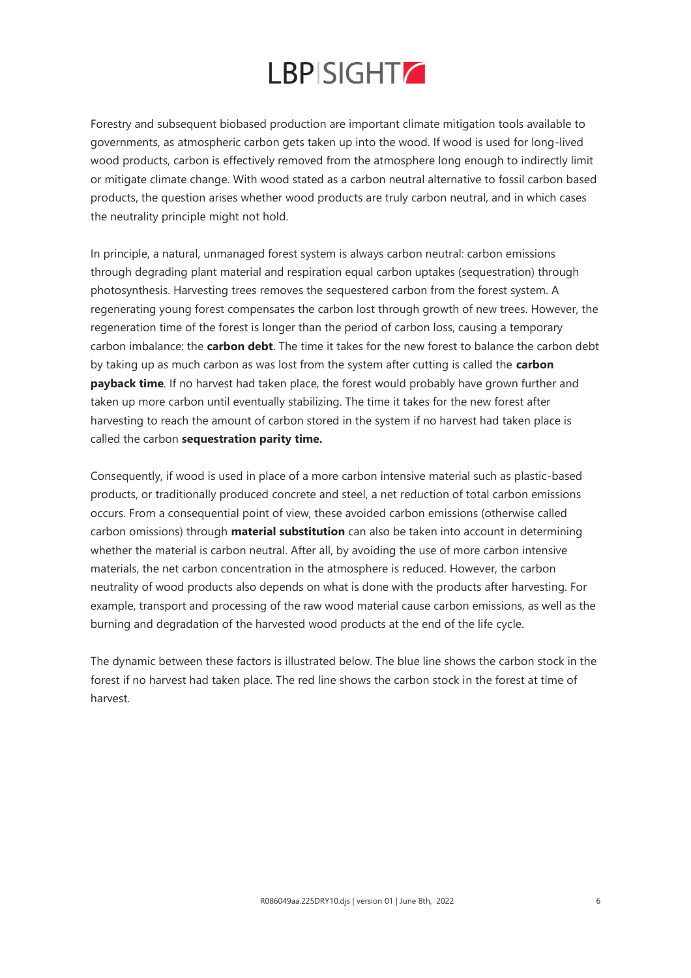Forestry and subsequent biobased production are important climate mitigation tools available to governments, as atmospheric carbon gets taken up into the wood. If wood is used for long-lived wood products, carbon is effectively removed from the atmosphere long enough to indirectly limit or mitigate climate change. With wood stated as a carbon neutral alternative to fossil carbon based products, the question arises whether wood products are truly carbon neutral, and in which cases the neutrality principle might not hold.

In principle, a natural, unmanaged forest system is always carbon neutral: carbon emissions through degrading plant material and respiration equal carbon uptakes (sequestration) through photosynthesis. Harvesting trees removes the sequestered carbon from the forest system. A regenerating young forest compensates the carbon lost through growth of new trees. However, the regeneration time of the forest is longer than the period of carbon loss, causing a temporary carbon imbalance: the **carbon debt**. The time it takes for the new forest to balance the carbon debt by taking up as much carbon as was lost from the system after cutting is called the **carbon payback time**. If no harvest had taken place, the forest would probably have grown further and taken up more carbon until eventually stabilizing. The time it takes for the new forest after harvesting to reach the amount of carbon stored in the system if no harvest had taken place is called the carbon **sequestration parity time.** 

Consequently, if wood is used in place of a more carbon intensive material such as plastic-based products, or traditionally produced concrete and steel, a net reduction of total carbon emissions occurs. From a consequential point of view, these avoided carbon emissions (otherwise called carbon omissions) through **material substitution** can also be taken into account in determining whether the material is carbon neutral. After all, by avoiding the use of more carbon intensive materials, the net carbon concentration in the atmosphere is reduced. However, the carbon neutrality of wood products also depends on what is done with the products after harvesting. For example, transport and processing of the raw wood material cause carbon emissions, as well as the burning and degradation of the harvested wood products at the end of the life cycle.

The dynamic between these factors is illustrated below. The blue line shows the carbon stock in the forest if no harvest had taken place. The red line shows the carbon stock in the forest at time of harvest.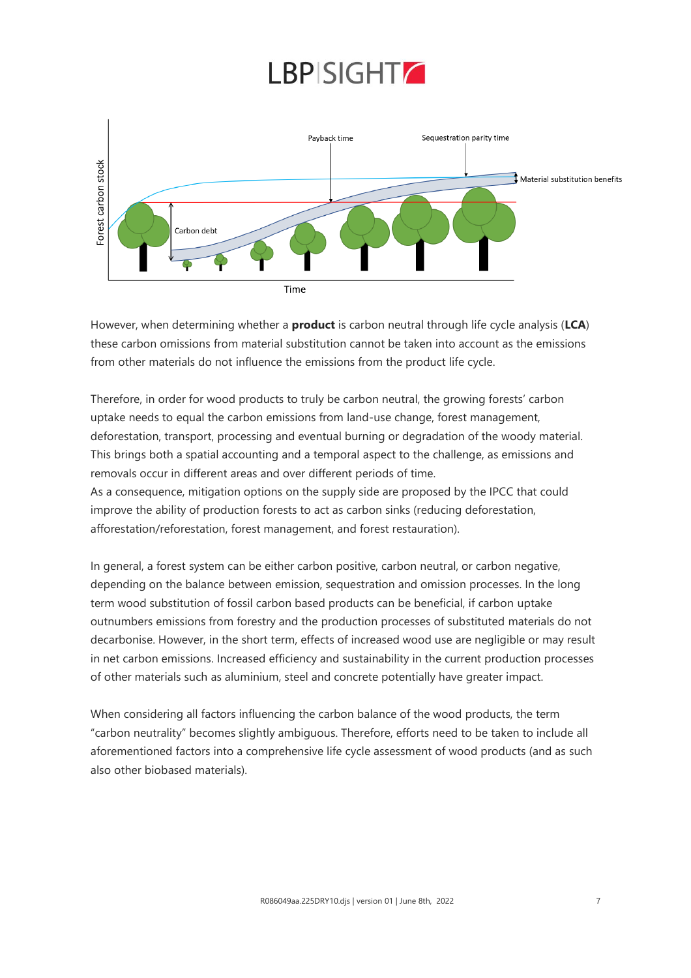![](_page_6_Figure_1.jpeg)

However, when determining whether a **product** is carbon neutral through life cycle analysis (**LCA**) these carbon omissions from material substitution cannot be taken into account as the emissions from other materials do not influence the emissions from the product life cycle.

Therefore, in order for wood products to truly be carbon neutral, the growing forests' carbon uptake needs to equal the carbon emissions from land-use change, forest management, deforestation, transport, processing and eventual burning or degradation of the woody material. This brings both a spatial accounting and a temporal aspect to the challenge, as emissions and removals occur in different areas and over different periods of time. As a consequence, mitigation options on the supply side are proposed by the IPCC that could improve the ability of production forests to act as carbon sinks (reducing deforestation, afforestation/reforestation, forest management, and forest restauration).

In general, a forest system can be either carbon positive, carbon neutral, or carbon negative, depending on the balance between emission, sequestration and omission processes. In the long term wood substitution of fossil carbon based products can be beneficial, if carbon uptake outnumbers emissions from forestry and the production processes of substituted materials do not decarbonise. However, in the short term, effects of increased wood use are negligible or may result in net carbon emissions. Increased efficiency and sustainability in the current production processes of other materials such as aluminium, steel and concrete potentially have greater impact.

When considering all factors influencing the carbon balance of the wood products, the term "carbon neutrality" becomes slightly ambiguous. Therefore, efforts need to be taken to include all aforementioned factors into a comprehensive life cycle assessment of wood products (and as such also other biobased materials).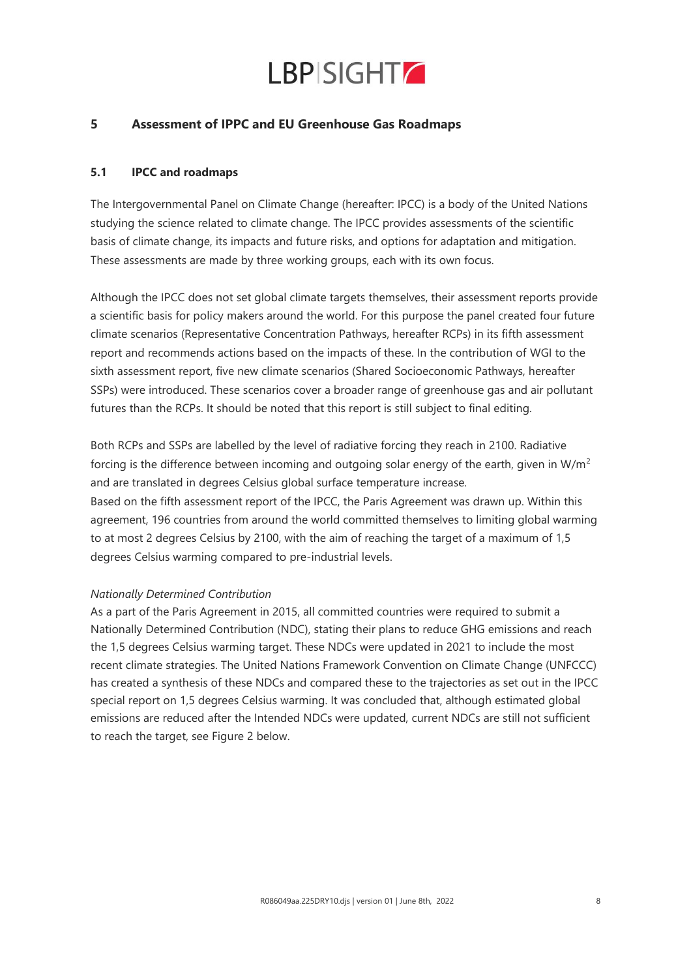![](_page_7_Picture_0.jpeg)

### **5 Assessment of IPPC and EU Greenhouse Gas Roadmaps**

### **5.1 IPCC and roadmaps**

The Intergovernmental Panel on Climate Change (hereafter: IPCC) is a body of the United Nations studying the science related to climate change. The IPCC provides assessments of the scientific basis of climate change, its impacts and future risks, and options for adaptation and mitigation. These assessments are made by three working groups, each with its own focus.

Although the IPCC does not set global climate targets themselves, their assessment reports provide a scientific basis for policy makers around the world. For this purpose the panel created four future climate scenarios (Representative Concentration Pathways, hereafter RCPs) in its fifth assessment report and recommends actions based on the impacts of these. In the contribution of WGI to the sixth assessment report, five new climate scenarios (Shared Socioeconomic Pathways, hereafter SSPs) were introduced. These scenarios cover a broader range of greenhouse gas and air pollutant futures than the RCPs. It should be noted that this report is still subject to final editing.

Both RCPs and SSPs are labelled by the level of radiative forcing they reach in 2100. Radiative forcing is the difference between incoming and outgoing solar energy of the earth, given in  $W/m^2$ and are translated in degrees Celsius global surface temperature increase. Based on the fifth assessment report of the IPCC, the Paris Agreement was drawn up. Within this agreement, 196 countries from around the world committed themselves to limiting global warming to at most 2 degrees Celsius by 2100, with the aim of reaching the target of a maximum of 1,5 degrees Celsius warming compared to pre-industrial levels.

#### *Nationally Determined Contribution*

As a part of the Paris Agreement in 2015, all committed countries were required to submit a Nationally Determined Contribution (NDC), stating their plans to reduce GHG emissions and reach the 1,5 degrees Celsius warming target. These NDCs were updated in 2021 to include the most recent climate strategies. The United Nations Framework Convention on Climate Change (UNFCCC) has created a synthesis of these NDCs and compared these to the trajectories as set out in the IPCC special report on 1,5 degrees Celsius warming. It was concluded that, although estimated global emissions are reduced after the Intended NDCs were updated, current NDCs are still not sufficient to reach the target, see Figure 2 below.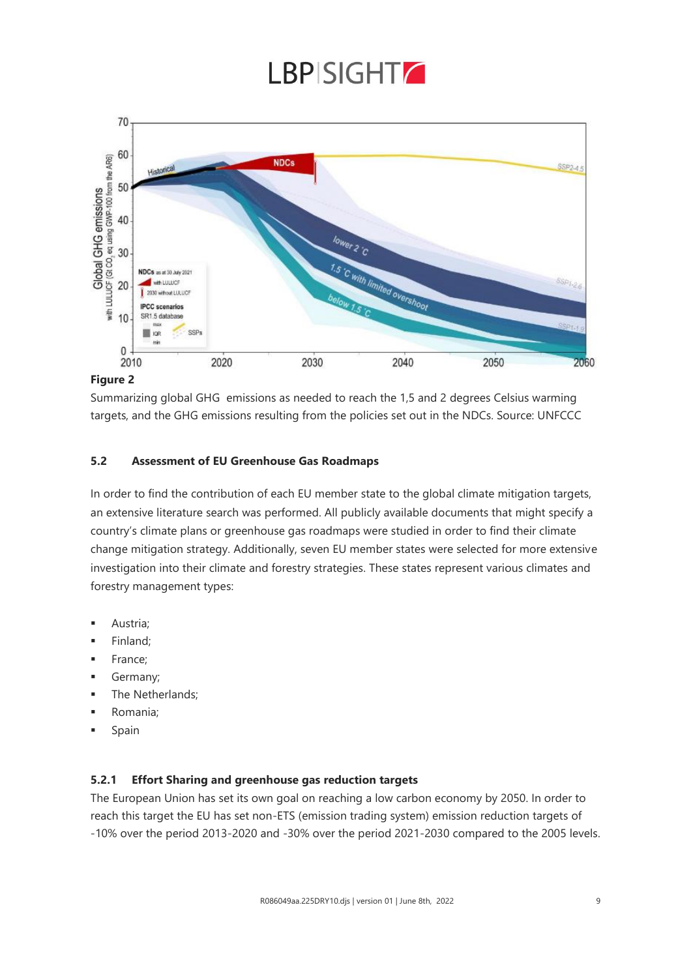![](_page_8_Picture_0.jpeg)

![](_page_8_Figure_1.jpeg)

### **Figure 2**

Summarizing global GHG emissions as needed to reach the 1,5 and 2 degrees Celsius warming targets, and the GHG emissions resulting from the policies set out in the NDCs. Source: UNFCCC

### **5.2 Assessment of EU Greenhouse Gas Roadmaps**

In order to find the contribution of each EU member state to the global climate mitigation targets, an extensive literature search was performed. All publicly available documents that might specify a country's climate plans or greenhouse gas roadmaps were studied in order to find their climate change mitigation strategy. Additionally, seven EU member states were selected for more extensive investigation into their climate and forestry strategies. These states represent various climates and forestry management types:

- Austria;
- Finland;
- France;
- Germany;
- The Netherlands:
- Romania;
- Spain

### **5.2.1 Effort Sharing and greenhouse gas reduction targets**

The European Union has set its own goal on reaching a low carbon economy by 2050. In order to reach this target the EU has set non-ETS (emission trading system) emission reduction targets of -10% over the period 2013-2020 and -30% over the period 2021-2030 compared to the 2005 levels.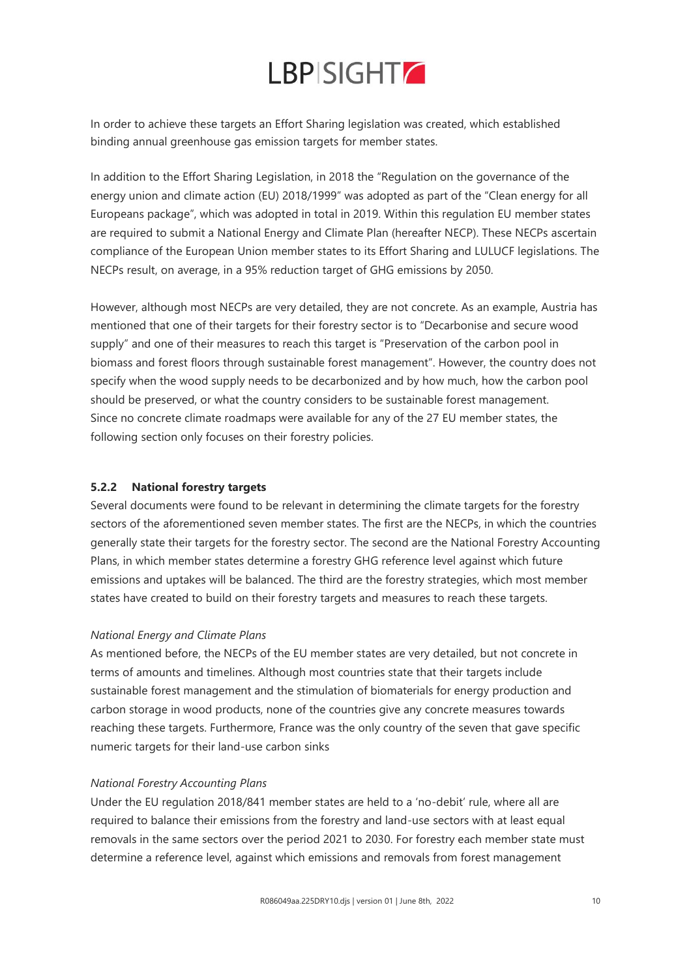In order to achieve these targets an Effort Sharing legislation was created, which established binding annual greenhouse gas emission targets for member states.

In addition to the Effort Sharing Legislation, in 2018 the "Regulation on the governance of the energy union and climate action (EU) 2018/1999" was adopted as part of the "Clean energy for all Europeans package", which was adopted in total in 2019. Within this regulation EU member states are required to submit a National Energy and Climate Plan (hereafter NECP). These NECPs ascertain compliance of the European Union member states to its Effort Sharing and LULUCF legislations. The NECPs result, on average, in a 95% reduction target of GHG emissions by 2050.

However, although most NECPs are very detailed, they are not concrete. As an example, Austria has mentioned that one of their targets for their forestry sector is to "Decarbonise and secure wood supply" and one of their measures to reach this target is "Preservation of the carbon pool in biomass and forest floors through sustainable forest management". However, the country does not specify when the wood supply needs to be decarbonized and by how much, how the carbon pool should be preserved, or what the country considers to be sustainable forest management. Since no concrete climate roadmaps were available for any of the 27 EU member states, the following section only focuses on their forestry policies.

### **5.2.2 National forestry targets**

Several documents were found to be relevant in determining the climate targets for the forestry sectors of the aforementioned seven member states. The first are the NECPs, in which the countries generally state their targets for the forestry sector. The second are the National Forestry Accounting Plans, in which member states determine a forestry GHG reference level against which future emissions and uptakes will be balanced. The third are the forestry strategies, which most member states have created to build on their forestry targets and measures to reach these targets.

### *National Energy and Climate Plans*

As mentioned before, the NECPs of the EU member states are very detailed, but not concrete in terms of amounts and timelines. Although most countries state that their targets include sustainable forest management and the stimulation of biomaterials for energy production and carbon storage in wood products, none of the countries give any concrete measures towards reaching these targets. Furthermore, France was the only country of the seven that gave specific numeric targets for their land-use carbon sinks

### *National Forestry Accounting Plans*

Under the EU regulation 2018/841 member states are held to a 'no-debit' rule, where all are required to balance their emissions from the forestry and land-use sectors with at least equal removals in the same sectors over the period 2021 to 2030. For forestry each member state must determine a reference level, against which emissions and removals from forest management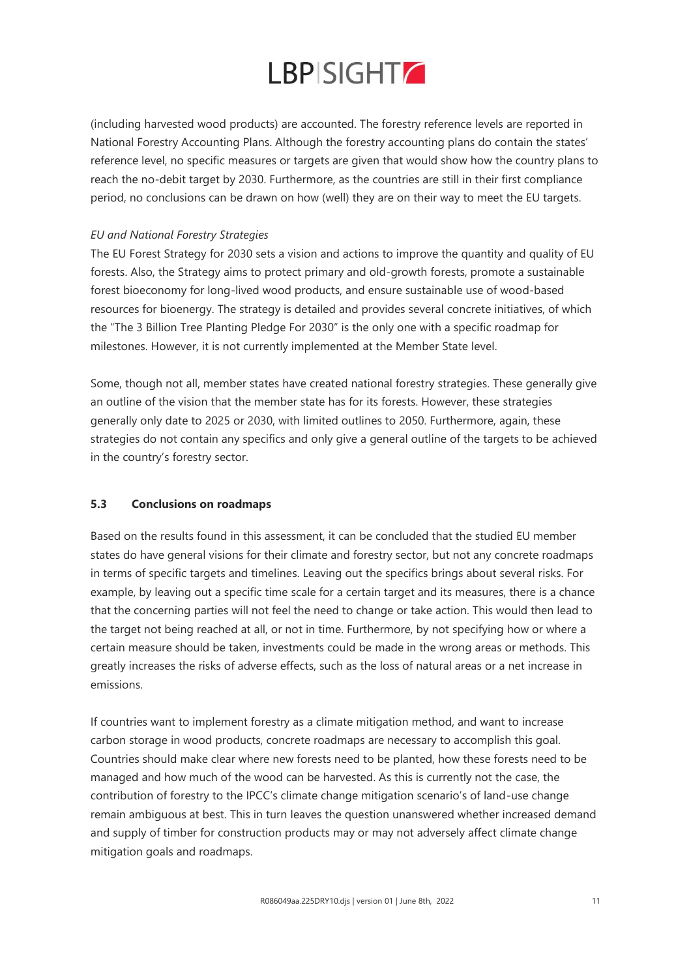![](_page_10_Picture_0.jpeg)

(including harvested wood products) are accounted. The forestry reference levels are reported in National Forestry Accounting Plans. Although the forestry accounting plans do contain the states' reference level, no specific measures or targets are given that would show how the country plans to reach the no-debit target by 2030. Furthermore, as the countries are still in their first compliance period, no conclusions can be drawn on how (well) they are on their way to meet the EU targets.

### *EU and National Forestry Strategies*

The EU Forest Strategy for 2030 sets a vision and actions to improve the quantity and quality of EU forests. Also, the Strategy aims to protect primary and old-growth forests, promote a sustainable forest bioeconomy for long-lived wood products, and ensure sustainable use of wood-based resources for bioenergy. The strategy is detailed and provides several concrete initiatives, of which the "The 3 Billion Tree Planting Pledge For 2030" is the only one with a specific roadmap for milestones. However, it is not currently implemented at the Member State level.

Some, though not all, member states have created national forestry strategies. These generally give an outline of the vision that the member state has for its forests. However, these strategies generally only date to 2025 or 2030, with limited outlines to 2050. Furthermore, again, these strategies do not contain any specifics and only give a general outline of the targets to be achieved in the country's forestry sector.

### **5.3 Conclusions on roadmaps**

Based on the results found in this assessment, it can be concluded that the studied EU member states do have general visions for their climate and forestry sector, but not any concrete roadmaps in terms of specific targets and timelines. Leaving out the specifics brings about several risks. For example, by leaving out a specific time scale for a certain target and its measures, there is a chance that the concerning parties will not feel the need to change or take action. This would then lead to the target not being reached at all, or not in time. Furthermore, by not specifying how or where a certain measure should be taken, investments could be made in the wrong areas or methods. This greatly increases the risks of adverse effects, such as the loss of natural areas or a net increase in emissions.

If countries want to implement forestry as a climate mitigation method, and want to increase carbon storage in wood products, concrete roadmaps are necessary to accomplish this goal. Countries should make clear where new forests need to be planted, how these forests need to be managed and how much of the wood can be harvested. As this is currently not the case, the contribution of forestry to the IPCC's climate change mitigation scenario's of land-use change remain ambiguous at best. This in turn leaves the question unanswered whether increased demand and supply of timber for construction products may or may not adversely affect climate change mitigation goals and roadmaps.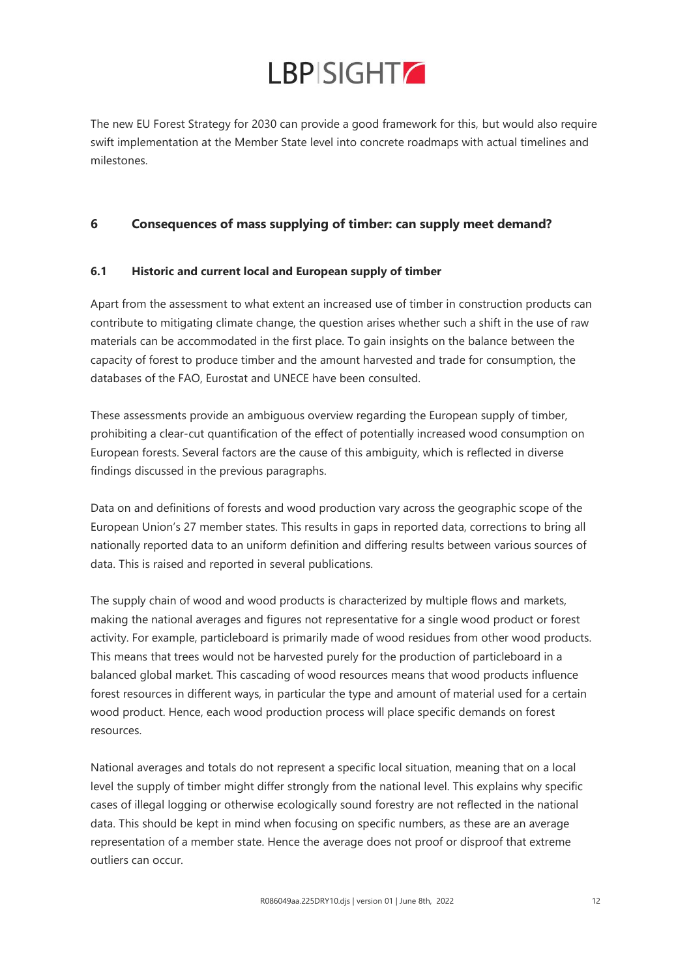The new EU Forest Strategy for 2030 can provide a good framework for this, but would also require swift implementation at the Member State level into concrete roadmaps with actual timelines and milestones.

### **6 Consequences of mass supplying of timber: can supply meet demand?**

### **6.1 Historic and current local and European supply of timber**

Apart from the assessment to what extent an increased use of timber in construction products can contribute to mitigating climate change, the question arises whether such a shift in the use of raw materials can be accommodated in the first place. To gain insights on the balance between the capacity of forest to produce timber and the amount harvested and trade for consumption, the databases of the FAO, Eurostat and UNECE have been consulted.

These assessments provide an ambiguous overview regarding the European supply of timber, prohibiting a clear-cut quantification of the effect of potentially increased wood consumption on European forests. Several factors are the cause of this ambiguity, which is reflected in diverse findings discussed in the previous paragraphs.

Data on and definitions of forests and wood production vary across the geographic scope of the European Union's 27 member states. This results in gaps in reported data, corrections to bring all nationally reported data to an uniform definition and differing results between various sources of data. This is raised and reported in several publications.

The supply chain of wood and wood products is characterized by multiple flows and markets, making the national averages and figures not representative for a single wood product or forest activity. For example, particleboard is primarily made of wood residues from other wood products. This means that trees would not be harvested purely for the production of particleboard in a balanced global market. This cascading of wood resources means that wood products influence forest resources in different ways, in particular the type and amount of material used for a certain wood product. Hence, each wood production process will place specific demands on forest resources.

National averages and totals do not represent a specific local situation, meaning that on a local level the supply of timber might differ strongly from the national level. This explains why specific cases of illegal logging or otherwise ecologically sound forestry are not reflected in the national data. This should be kept in mind when focusing on specific numbers, as these are an average representation of a member state. Hence the average does not proof or disproof that extreme outliers can occur.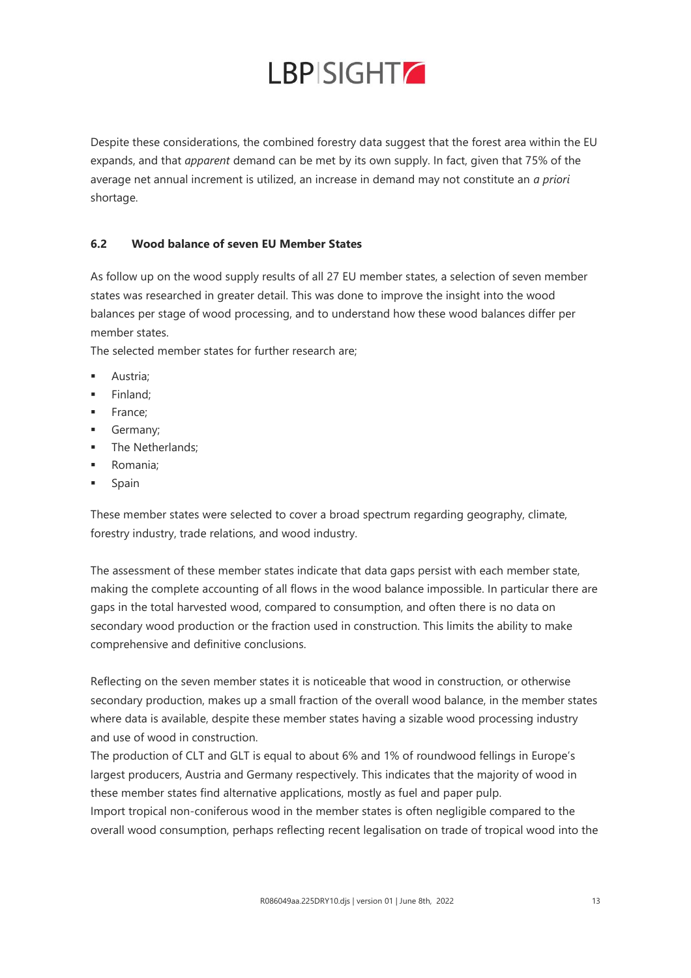Despite these considerations, the combined forestry data suggest that the forest area within the EU expands, and that *apparent* demand can be met by its own supply. In fact, given that 75% of the average net annual increment is utilized, an increase in demand may not constitute an *a priori* shortage.

### **6.2 Wood balance of seven EU Member States**

As follow up on the wood supply results of all 27 EU member states, a selection of seven member states was researched in greater detail. This was done to improve the insight into the wood balances per stage of wood processing, and to understand how these wood balances differ per member states.

The selected member states for further research are;

- Austria:
- Finland:
- France;
- **■** Germany;
- The Netherlands;
- Romania:
- Spain

These member states were selected to cover a broad spectrum regarding geography, climate, forestry industry, trade relations, and wood industry.

The assessment of these member states indicate that data gaps persist with each member state, making the complete accounting of all flows in the wood balance impossible. In particular there are gaps in the total harvested wood, compared to consumption, and often there is no data on secondary wood production or the fraction used in construction. This limits the ability to make comprehensive and definitive conclusions.

Reflecting on the seven member states it is noticeable that wood in construction, or otherwise secondary production, makes up a small fraction of the overall wood balance, in the member states where data is available, despite these member states having a sizable wood processing industry and use of wood in construction.

The production of CLT and GLT is equal to about 6% and 1% of roundwood fellings in Europe's largest producers, Austria and Germany respectively. This indicates that the majority of wood in these member states find alternative applications, mostly as fuel and paper pulp.

Import tropical non-coniferous wood in the member states is often negligible compared to the overall wood consumption, perhaps reflecting recent legalisation on trade of tropical wood into the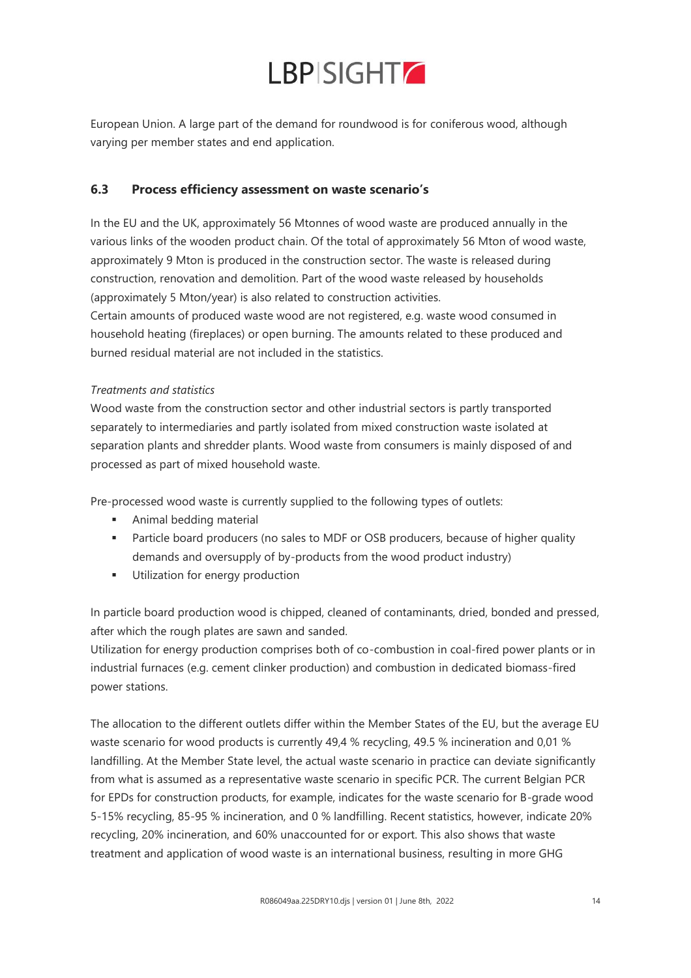![](_page_13_Picture_0.jpeg)

European Union. A large part of the demand for roundwood is for coniferous wood, although varying per member states and end application.

### **6.3 Process efficiency assessment on waste scenario's**

In the EU and the UK, approximately 56 Mtonnes of wood waste are produced annually in the various links of the wooden product chain. Of the total of approximately 56 Mton of wood waste, approximately 9 Mton is produced in the construction sector. The waste is released during construction, renovation and demolition. Part of the wood waste released by households (approximately 5 Mton/year) is also related to construction activities.

Certain amounts of produced waste wood are not registered, e.g. waste wood consumed in household heating (fireplaces) or open burning. The amounts related to these produced and burned residual material are not included in the statistics.

### *Treatments and statistics*

Wood waste from the construction sector and other industrial sectors is partly transported separately to intermediaries and partly isolated from mixed construction waste isolated at separation plants and shredder plants. Wood waste from consumers is mainly disposed of and processed as part of mixed household waste.

Pre-processed wood waste is currently supplied to the following types of outlets:

- **EXECUTE:** Animal bedding material
- **•** Particle board producers (no sales to MDF or OSB producers, because of higher quality demands and oversupply of by-products from the wood product industry)
- **■** Utilization for energy production

In particle board production wood is chipped, cleaned of contaminants, dried, bonded and pressed, after which the rough plates are sawn and sanded.

Utilization for energy production comprises both of co-combustion in coal-fired power plants or in industrial furnaces (e.g. cement clinker production) and combustion in dedicated biomass-fired power stations.

The allocation to the different outlets differ within the Member States of the EU, but the average EU waste scenario for wood products is currently 49,4 % recycling, 49.5 % incineration and 0,01 % landfilling. At the Member State level, the actual waste scenario in practice can deviate significantly from what is assumed as a representative waste scenario in specific PCR. The current Belgian PCR for EPDs for construction products, for example, indicates for the waste scenario for B-grade wood 5-15% recycling, 85-95 % incineration, and 0 % landfilling. Recent statistics, however, indicate 20% recycling, 20% incineration, and 60% unaccounted for or export. This also shows that waste treatment and application of wood waste is an international business, resulting in more GHG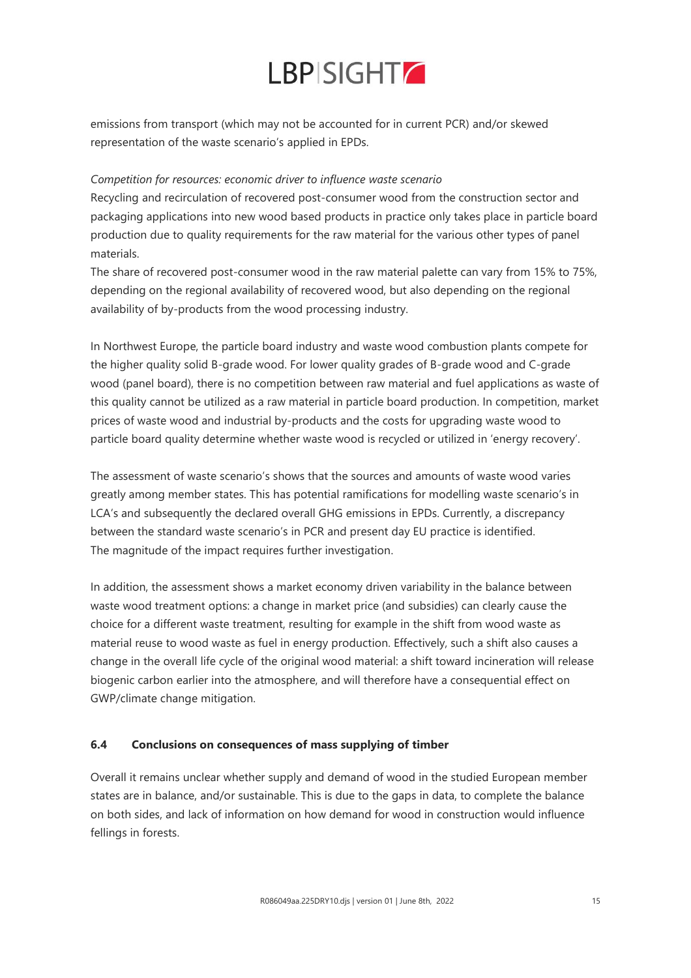![](_page_14_Picture_0.jpeg)

emissions from transport (which may not be accounted for in current PCR) and/or skewed representation of the waste scenario's applied in EPDs.

### *Competition for resources: economic driver to influence waste scenario*

Recycling and recirculation of recovered post-consumer wood from the construction sector and packaging applications into new wood based products in practice only takes place in particle board production due to quality requirements for the raw material for the various other types of panel materials.

The share of recovered post-consumer wood in the raw material palette can vary from 15% to 75%, depending on the regional availability of recovered wood, but also depending on the regional availability of by-products from the wood processing industry.

In Northwest Europe, the particle board industry and waste wood combustion plants compete for the higher quality solid B-grade wood. For lower quality grades of B-grade wood and C-grade wood (panel board), there is no competition between raw material and fuel applications as waste of this quality cannot be utilized as a raw material in particle board production. In competition, market prices of waste wood and industrial by-products and the costs for upgrading waste wood to particle board quality determine whether waste wood is recycled or utilized in 'energy recovery'.

The assessment of waste scenario's shows that the sources and amounts of waste wood varies greatly among member states. This has potential ramifications for modelling waste scenario's in LCA's and subsequently the declared overall GHG emissions in EPDs. Currently, a discrepancy between the standard waste scenario's in PCR and present day EU practice is identified. The magnitude of the impact requires further investigation.

In addition, the assessment shows a market economy driven variability in the balance between waste wood treatment options: a change in market price (and subsidies) can clearly cause the choice for a different waste treatment, resulting for example in the shift from wood waste as material reuse to wood waste as fuel in energy production. Effectively, such a shift also causes a change in the overall life cycle of the original wood material: a shift toward incineration will release biogenic carbon earlier into the atmosphere, and will therefore have a consequential effect on GWP/climate change mitigation.

### **6.4 Conclusions on consequences of mass supplying of timber**

Overall it remains unclear whether supply and demand of wood in the studied European member states are in balance, and/or sustainable. This is due to the gaps in data, to complete the balance on both sides, and lack of information on how demand for wood in construction would influence fellings in forests.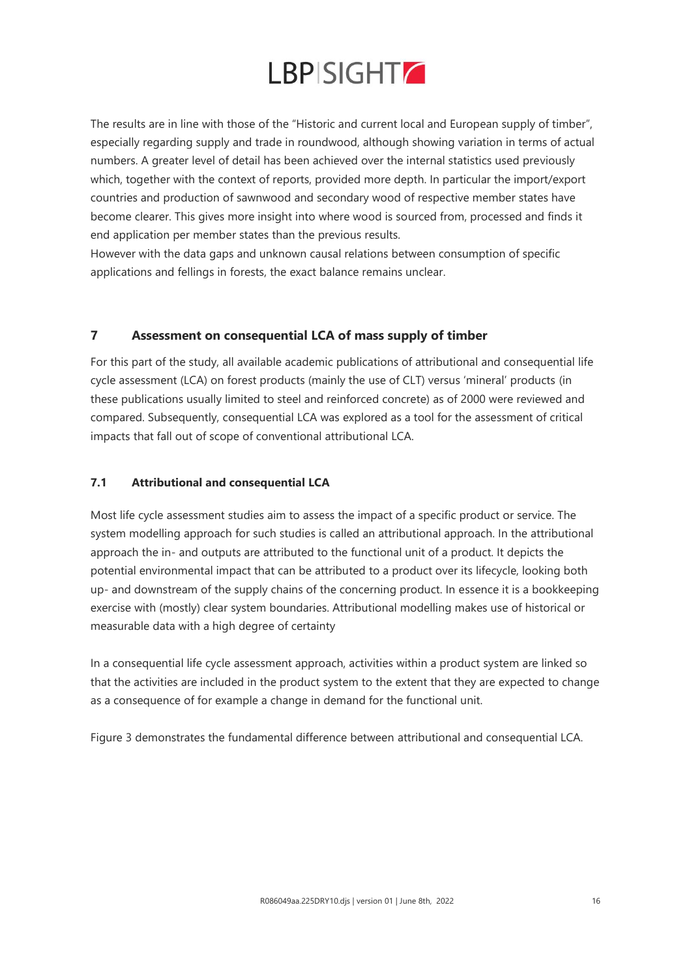![](_page_15_Picture_0.jpeg)

The results are in line with those of the "Historic and current local and European supply of timber", especially regarding supply and trade in roundwood, although showing variation in terms of actual numbers. A greater level of detail has been achieved over the internal statistics used previously which, together with the context of reports, provided more depth. In particular the import/export countries and production of sawnwood and secondary wood of respective member states have become clearer. This gives more insight into where wood is sourced from, processed and finds it end application per member states than the previous results.

However with the data gaps and unknown causal relations between consumption of specific applications and fellings in forests, the exact balance remains unclear.

### **7 Assessment on consequential LCA of mass supply of timber**

For this part of the study, all available academic publications of attributional and consequential life cycle assessment (LCA) on forest products (mainly the use of CLT) versus 'mineral' products (in these publications usually limited to steel and reinforced concrete) as of 2000 were reviewed and compared. Subsequently, consequential LCA was explored as a tool for the assessment of critical impacts that fall out of scope of conventional attributional LCA.

### **7.1 Attributional and consequential LCA**

Most life cycle assessment studies aim to assess the impact of a specific product or service. The system modelling approach for such studies is called an attributional approach. In the attributional approach the in- and outputs are attributed to the functional unit of a product. It depicts the potential environmental impact that can be attributed to a product over its lifecycle, looking both up- and downstream of the supply chains of the concerning product. In essence it is a bookkeeping exercise with (mostly) clear system boundaries. Attributional modelling makes use of historical or measurable data with a high degree of certainty

In a consequential life cycle assessment approach, activities within a product system are linked so that the activities are included in the product system to the extent that they are expected to change as a consequence of for example a change in demand for the functional unit.

Figure 3 demonstrates the fundamental difference between attributional and consequential LCA.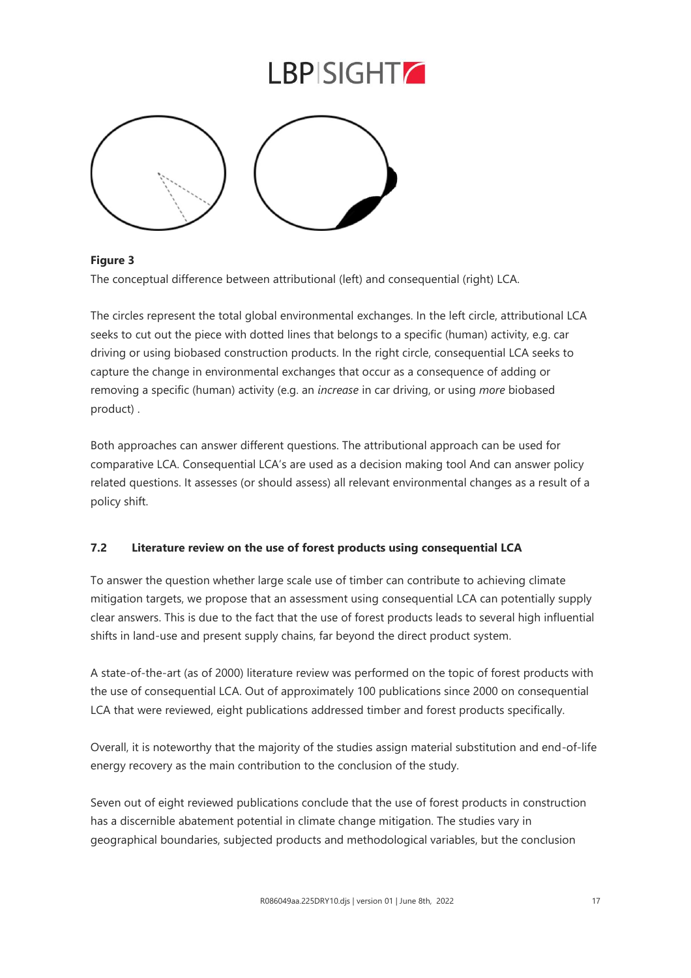![](_page_16_Figure_1.jpeg)

### **Figure 3**

The conceptual difference between attributional (left) and consequential (right) LCA.

The circles represent the total global environmental exchanges. In the left circle, attributional LCA seeks to cut out the piece with dotted lines that belongs to a specific (human) activity, e.g. car driving or using biobased construction products. In the right circle, consequential LCA seeks to capture the change in environmental exchanges that occur as a consequence of adding or removing a specific (human) activity (e.g. an *increase* in car driving, or using *more* biobased product) .

Both approaches can answer different questions. The attributional approach can be used for comparative LCA. Consequential LCA's are used as a decision making tool And can answer policy related questions. It assesses (or should assess) all relevant environmental changes as a result of a policy shift.

### **7.2 Literature review on the use of forest products using consequential LCA**

To answer the question whether large scale use of timber can contribute to achieving climate mitigation targets, we propose that an assessment using consequential LCA can potentially supply clear answers. This is due to the fact that the use of forest products leads to several high influential shifts in land-use and present supply chains, far beyond the direct product system.

A state-of-the-art (as of 2000) literature review was performed on the topic of forest products with the use of consequential LCA. Out of approximately 100 publications since 2000 on consequential LCA that were reviewed, eight publications addressed timber and forest products specifically.

Overall, it is noteworthy that the majority of the studies assign material substitution and end-of-life energy recovery as the main contribution to the conclusion of the study.

Seven out of eight reviewed publications conclude that the use of forest products in construction has a discernible abatement potential in climate change mitigation. The studies vary in geographical boundaries, subjected products and methodological variables, but the conclusion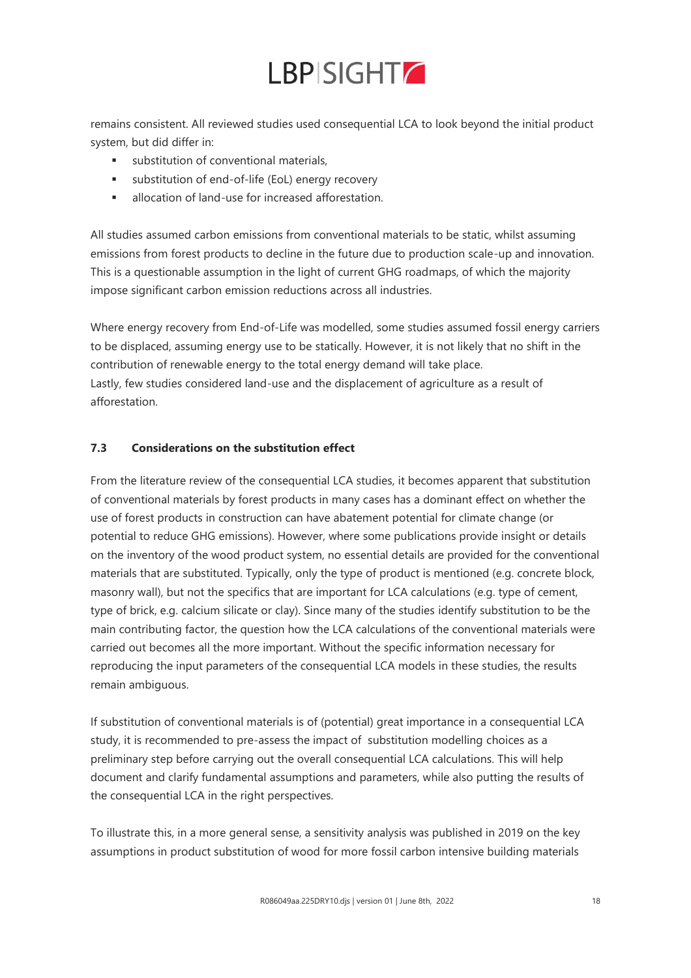![](_page_17_Picture_0.jpeg)

remains consistent. All reviewed studies used consequential LCA to look beyond the initial product system, but did differ in:

- substitution of conventional materials.
- substitution of end-of-life (EoL) energy recovery
- allocation of land-use for increased afforestation.

All studies assumed carbon emissions from conventional materials to be static, whilst assuming emissions from forest products to decline in the future due to production scale-up and innovation. This is a questionable assumption in the light of current GHG roadmaps, of which the majority impose significant carbon emission reductions across all industries.

Where energy recovery from End-of-Life was modelled, some studies assumed fossil energy carriers to be displaced, assuming energy use to be statically. However, it is not likely that no shift in the contribution of renewable energy to the total energy demand will take place. Lastly, few studies considered land-use and the displacement of agriculture as a result of afforestation.

### **7.3 Considerations on the substitution effect**

From the literature review of the consequential LCA studies, it becomes apparent that substitution of conventional materials by forest products in many cases has a dominant effect on whether the use of forest products in construction can have abatement potential for climate change (or potential to reduce GHG emissions). However, where some publications provide insight or details on the inventory of the wood product system, no essential details are provided for the conventional materials that are substituted. Typically, only the type of product is mentioned (e.g. concrete block, masonry wall), but not the specifics that are important for LCA calculations (e.g. type of cement, type of brick, e.g. calcium silicate or clay). Since many of the studies identify substitution to be the main contributing factor, the question how the LCA calculations of the conventional materials were carried out becomes all the more important. Without the specific information necessary for reproducing the input parameters of the consequential LCA models in these studies, the results remain ambiguous.

If substitution of conventional materials is of (potential) great importance in a consequential LCA study, it is recommended to pre-assess the impact of substitution modelling choices as a preliminary step before carrying out the overall consequential LCA calculations. This will help document and clarify fundamental assumptions and parameters, while also putting the results of the consequential LCA in the right perspectives.

To illustrate this, in a more general sense, a sensitivity analysis was published in 2019 on the key assumptions in product substitution of wood for more fossil carbon intensive building materials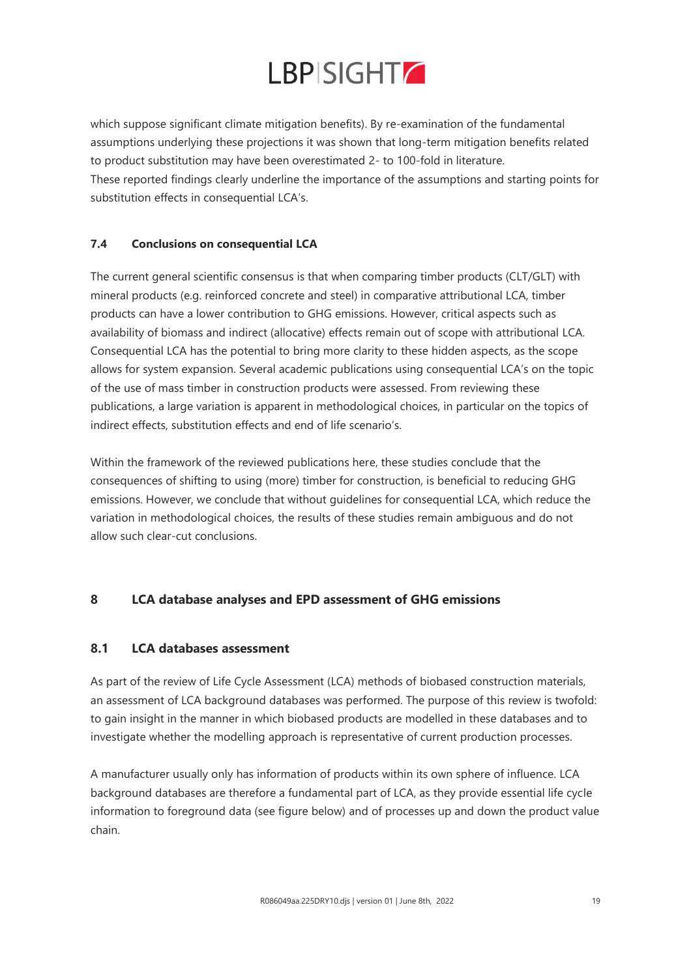![](_page_18_Picture_0.jpeg)

which suppose significant climate mitigation benefits). By re-examination of the fundamental assumptions underlying these projections it was shown that long-term mitigation benefits related to product substitution may have been overestimated 2- to 100-fold in literature. These reported findings clearly underline the importance of the assumptions and starting points for substitution effects in consequential LCA's.

### **7.4 Conclusions on consequential LCA**

The current general scientific consensus is that when comparing timber products (CLT/GLT) with mineral products (e.g. reinforced concrete and steel) in comparative attributional LCA, timber products can have a lower contribution to GHG emissions. However, critical aspects such as availability of biomass and indirect (allocative) effects remain out of scope with attributional LCA. Consequential LCA has the potential to bring more clarity to these hidden aspects, as the scope allows for system expansion. Several academic publications using consequential LCA's on the topic of the use of mass timber in construction products were assessed. From reviewing these publications, a large variation is apparent in methodological choices, in particular on the topics of indirect effects, substitution effects and end of life scenario's.

Within the framework of the reviewed publications here, these studies conclude that the consequences of shifting to using (more) timber for construction, is beneficial to reducing GHG emissions. However, we conclude that without guidelines for consequential LCA, which reduce the variation in methodological choices, the results of these studies remain ambiguous and do not allow such clear-cut conclusions.

### **8 LCA database analyses and EPD assessment of GHG emissions**

### **8.1 LCA databases assessment**

As part of the review of Life Cycle Assessment (LCA) methods of biobased construction materials, an assessment of LCA background databases was performed. The purpose of this review is twofold: to gain insight in the manner in which biobased products are modelled in these databases and to investigate whether the modelling approach is representative of current production processes.

A manufacturer usually only has information of products within its own sphere of influence. LCA background databases are therefore a fundamental part of LCA, as they provide essential life cycle information to foreground data (see figure below) and of processes up and down the product value chain.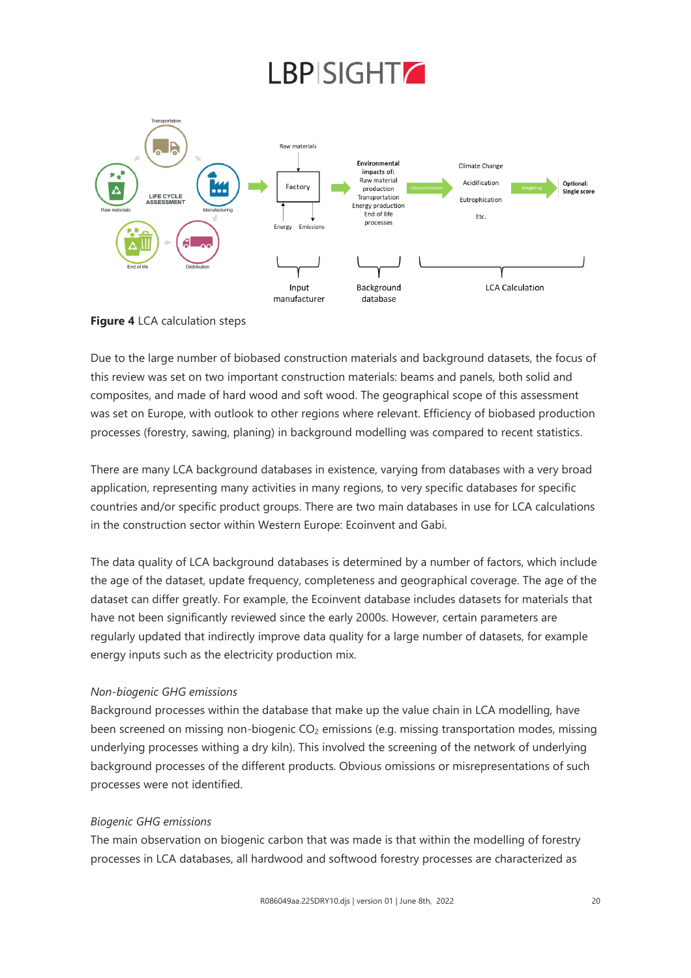![](_page_19_Figure_1.jpeg)

**Figure 4** LCA calculation steps

Due to the large number of biobased construction materials and background datasets, the focus of this review was set on two important construction materials: beams and panels, both solid and composites, and made of hard wood and soft wood. The geographical scope of this assessment was set on Europe, with outlook to other regions where relevant. Efficiency of biobased production processes (forestry, sawing, planing) in background modelling was compared to recent statistics.

There are many LCA background databases in existence, varying from databases with a very broad application, representing many activities in many regions, to very specific databases for specific countries and/or specific product groups. There are two main databases in use for LCA calculations in the construction sector within Western Europe: Ecoinvent and Gabi.

The data quality of LCA background databases is determined by a number of factors, which include the age of the dataset, update frequency, completeness and geographical coverage. The age of the dataset can differ greatly. For example, the Ecoinvent database includes datasets for materials that have not been significantly reviewed since the early 2000s. However, certain parameters are regularly updated that indirectly improve data quality for a large number of datasets, for example energy inputs such as the electricity production mix.

### *Non-biogenic GHG emissions*

Background processes within the database that make up the value chain in LCA modelling, have been screened on missing non-biogenic CO<sub>2</sub> emissions (e.g. missing transportation modes, missing underlying processes withing a dry kiln). This involved the screening of the network of underlying background processes of the different products. Obvious omissions or misrepresentations of such processes were not identified.

### *Biogenic GHG emissions*

The main observation on biogenic carbon that was made is that within the modelling of forestry processes in LCA databases, all hardwood and softwood forestry processes are characterized as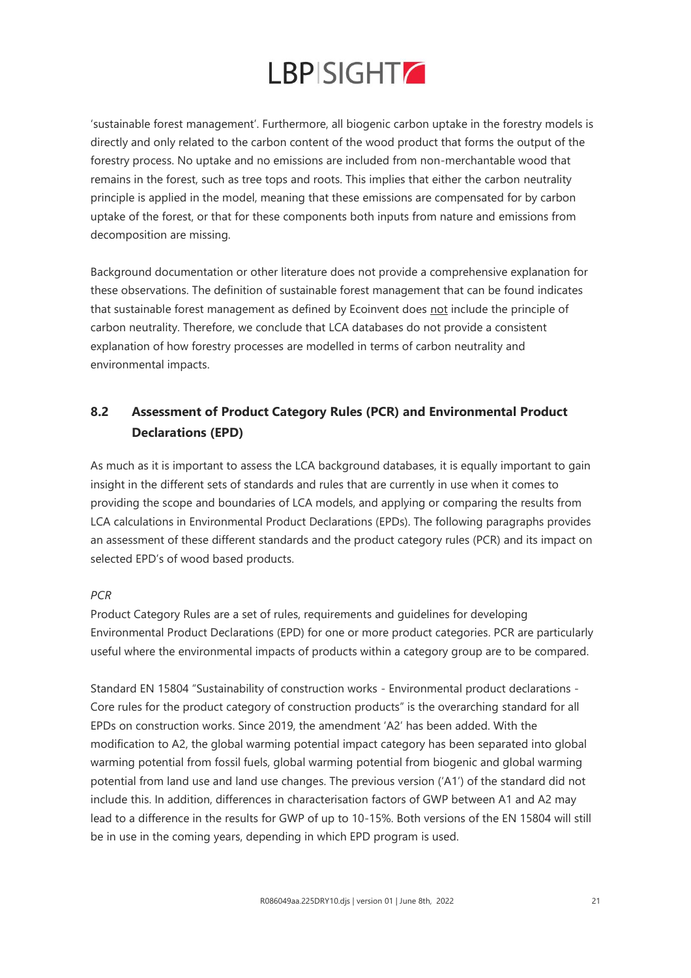![](_page_20_Picture_0.jpeg)

'sustainable forest management'. Furthermore, all biogenic carbon uptake in the forestry models is directly and only related to the carbon content of the wood product that forms the output of the forestry process. No uptake and no emissions are included from non-merchantable wood that remains in the forest, such as tree tops and roots. This implies that either the carbon neutrality principle is applied in the model, meaning that these emissions are compensated for by carbon uptake of the forest, or that for these components both inputs from nature and emissions from decomposition are missing.

Background documentation or other literature does not provide a comprehensive explanation for these observations. The definition of sustainable forest management that can be found indicates that sustainable forest management as defined by Ecoinvent does not include the principle of carbon neutrality. Therefore, we conclude that LCA databases do not provide a consistent explanation of how forestry processes are modelled in terms of carbon neutrality and environmental impacts.

### **8.2 Assessment of Product Category Rules (PCR) and Environmental Product Declarations (EPD)**

As much as it is important to assess the LCA background databases, it is equally important to gain insight in the different sets of standards and rules that are currently in use when it comes to providing the scope and boundaries of LCA models, and applying or comparing the results from LCA calculations in Environmental Product Declarations (EPDs). The following paragraphs provides an assessment of these different standards and the product category rules (PCR) and its impact on selected EPD's of wood based products.

### *PCR*

Product Category Rules are a set of rules, requirements and guidelines for developing Environmental Product Declarations (EPD) for one or more product categories. PCR are particularly useful where the environmental impacts of products within a category group are to be compared.

Standard EN 15804 "Sustainability of construction works - Environmental product declarations - Core rules for the product category of construction products" is the overarching standard for all EPDs on construction works. Since 2019, the amendment 'A2' has been added. With the modification to A2, the global warming potential impact category has been separated into global warming potential from fossil fuels, global warming potential from biogenic and global warming potential from land use and land use changes. The previous version ('A1') of the standard did not include this. In addition, differences in characterisation factors of GWP between A1 and A2 may lead to a difference in the results for GWP of up to 10-15%. Both versions of the EN 15804 will still be in use in the coming years, depending in which EPD program is used.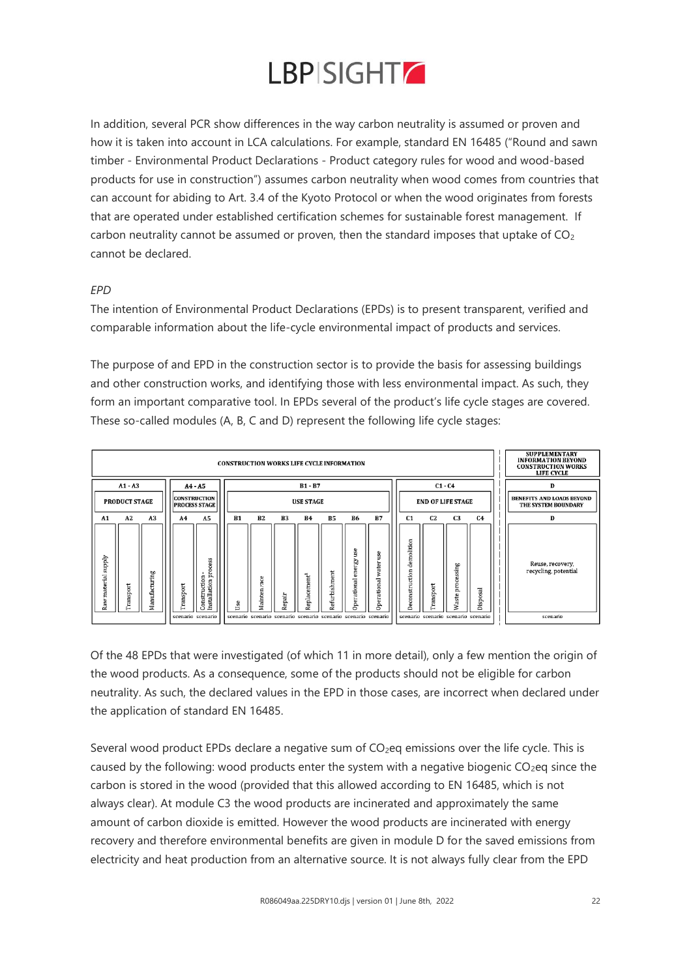![](_page_21_Picture_0.jpeg)

In addition, several PCR show differences in the way carbon neutrality is assumed or proven and how it is taken into account in LCA calculations. For example, standard EN 16485 ("Round and sawn timber - Environmental Product Declarations - Product category rules for wood and wood-based products for use in construction") assumes carbon neutrality when wood comes from countries that can account for abiding to Art. 3.4 of the Kyoto Protocol or when the wood originates from forests that are operated under established certification schemes for sustainable forest management. If carbon neutrality cannot be assumed or proven, then the standard imposes that uptake of  $CO<sub>2</sub>$ cannot be declared.

### *EPD*

The intention of Environmental Product Declarations (EPDs) is to present transparent, verified and comparable information about the life-cycle environmental impact of products and services.

The purpose of and EPD in the construction sector is to provide the basis for assessing buildings and other construction works, and identifying those with less environmental impact. As such, they form an important comparative tool. In EPDs several of the product's life cycle stages are covered. These so-called modules (A, B, C and D) represent the following life cycle stages:

![](_page_21_Figure_5.jpeg)

Of the 48 EPDs that were investigated (of which 11 in more detail), only a few mention the origin of the wood products. As a consequence, some of the products should not be eligible for carbon neutrality. As such, the declared values in the EPD in those cases, are incorrect when declared under the application of standard EN 16485.

Several wood product EPDs declare a negative sum of  $CO<sub>2</sub>$ eq emissions over the life cycle. This is caused by the following: wood products enter the system with a negative biogenic  $CO<sub>2</sub>$ eq since the carbon is stored in the wood (provided that this allowed according to EN 16485, which is not always clear). At module C3 the wood products are incinerated and approximately the same amount of carbon dioxide is emitted. However the wood products are incinerated with energy recovery and therefore environmental benefits are given in module D for the saved emissions from electricity and heat production from an alternative source. It is not always fully clear from the EPD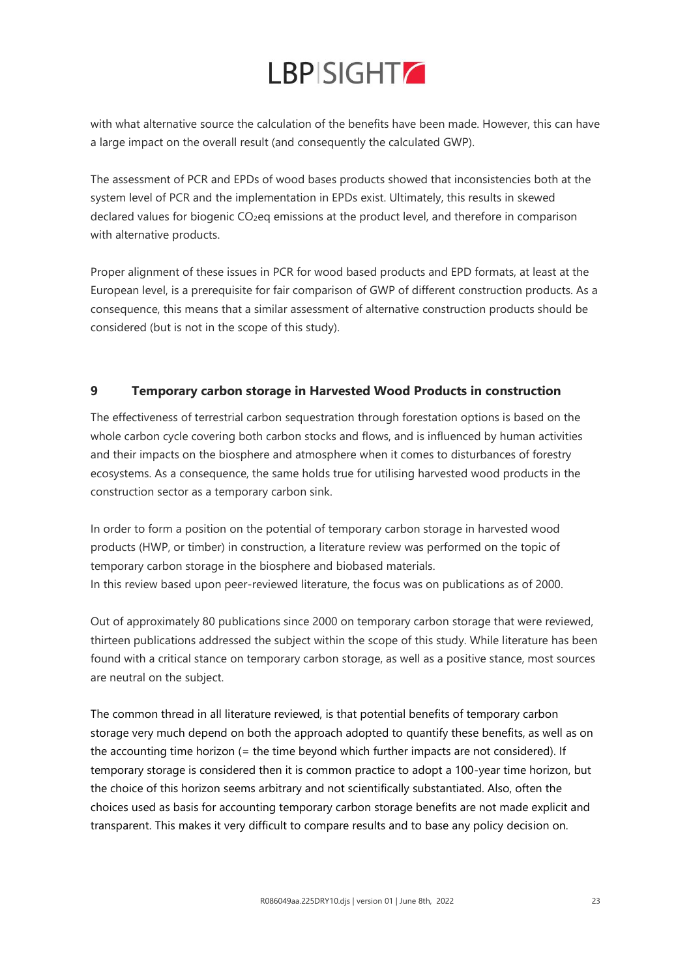with what alternative source the calculation of the benefits have been made. However, this can have a large impact on the overall result (and consequently the calculated GWP).

The assessment of PCR and EPDs of wood bases products showed that inconsistencies both at the system level of PCR and the implementation in EPDs exist. Ultimately, this results in skewed declared values for biogenic CO<sub>2</sub>eq emissions at the product level, and therefore in comparison with alternative products.

Proper alignment of these issues in PCR for wood based products and EPD formats, at least at the European level, is a prerequisite for fair comparison of GWP of different construction products. As a consequence, this means that a similar assessment of alternative construction products should be considered (but is not in the scope of this study).

### **9 Temporary carbon storage in Harvested Wood Products in construction**

The effectiveness of terrestrial carbon sequestration through forestation options is based on the whole carbon cycle covering both carbon stocks and flows, and is influenced by human activities and their impacts on the biosphere and atmosphere when it comes to disturbances of forestry ecosystems. As a consequence, the same holds true for utilising harvested wood products in the construction sector as a temporary carbon sink.

In order to form a position on the potential of temporary carbon storage in harvested wood products (HWP, or timber) in construction, a literature review was performed on the topic of temporary carbon storage in the biosphere and biobased materials. In this review based upon peer-reviewed literature, the focus was on publications as of 2000.

Out of approximately 80 publications since 2000 on temporary carbon storage that were reviewed, thirteen publications addressed the subject within the scope of this study. While literature has been found with a critical stance on temporary carbon storage, as well as a positive stance, most sources are neutral on the subject.

The common thread in all literature reviewed, is that potential benefits of temporary carbon storage very much depend on both the approach adopted to quantify these benefits, as well as on the accounting time horizon (= the time beyond which further impacts are not considered). If temporary storage is considered then it is common practice to adopt a 100-year time horizon, but the choice of this horizon seems arbitrary and not scientifically substantiated. Also, often the choices used as basis for accounting temporary carbon storage benefits are not made explicit and transparent. This makes it very difficult to compare results and to base any policy decision on.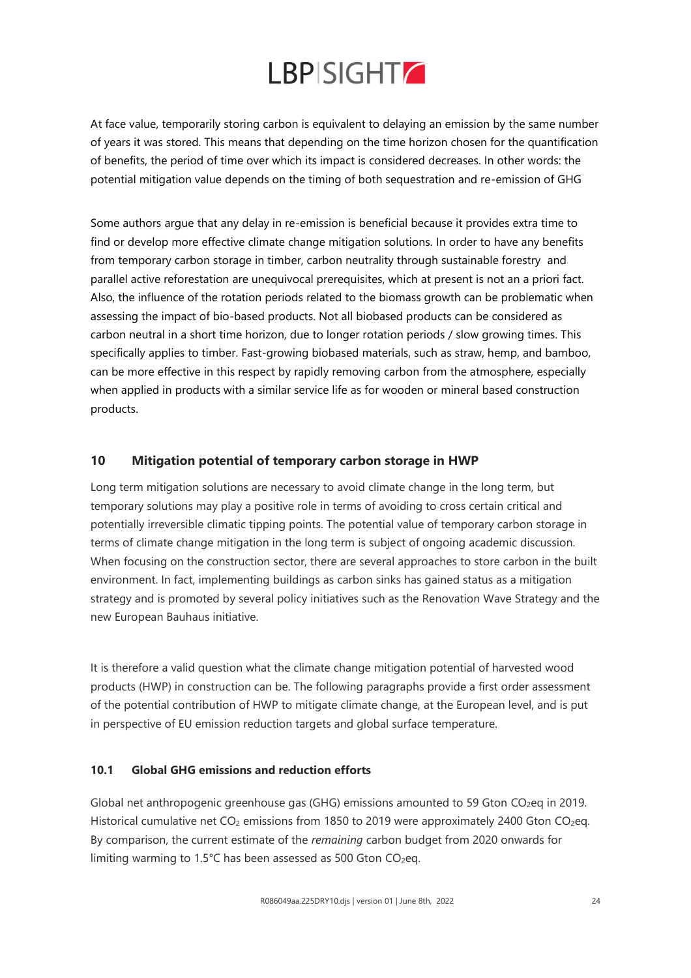At face value, temporarily storing carbon is equivalent to delaying an emission by the same number of years it was stored. This means that depending on the time horizon chosen for the quantification of benefits, the period of time over which its impact is considered decreases. In other words: the potential mitigation value depends on the timing of both sequestration and re-emission of GHG

Some authors argue that any delay in re-emission is beneficial because it provides extra time to find or develop more effective climate change mitigation solutions. In order to have any benefits from temporary carbon storage in timber, carbon neutrality through sustainable forestry and parallel active reforestation are unequivocal prerequisites, which at present is not an a priori fact. Also, the influence of the rotation periods related to the biomass growth can be problematic when assessing the impact of bio-based products. Not all biobased products can be considered as carbon neutral in a short time horizon, due to longer rotation periods / slow growing times. This specifically applies to timber. Fast-growing biobased materials, such as straw, hemp, and bamboo, can be more effective in this respect by rapidly removing carbon from the atmosphere, especially when applied in products with a similar service life as for wooden or mineral based construction products.

### **10 Mitigation potential of temporary carbon storage in HWP**

Long term mitigation solutions are necessary to avoid climate change in the long term, but temporary solutions may play a positive role in terms of avoiding to cross certain critical and potentially irreversible climatic tipping points. The potential value of temporary carbon storage in terms of climate change mitigation in the long term is subject of ongoing academic discussion. When focusing on the construction sector, there are several approaches to store carbon in the built environment. In fact, implementing buildings as carbon sinks has gained status as a mitigation strategy and is promoted by several policy initiatives such as the Renovation Wave Strategy and the new European Bauhaus initiative.

It is therefore a valid question what the climate change mitigation potential of harvested wood products (HWP) in construction can be. The following paragraphs provide a first order assessment of the potential contribution of HWP to mitigate climate change, at the European level, and is put in perspective of EU emission reduction targets and global surface temperature.

### **10.1 Global GHG emissions and reduction efforts**

Global net anthropogenic greenhouse gas (GHG) emissions amounted to 59 Gton CO<sub>2</sub>eq in 2019. Historical cumulative net  $CO<sub>2</sub>$  emissions from 1850 to 2019 were approximately 2400 Gton  $CO<sub>2</sub>$ eq. By comparison, the current estimate of the *remaining* carbon budget from 2020 onwards for limiting warming to 1.5°C has been assessed as 500 Gton  $CO<sub>2</sub>$ eq.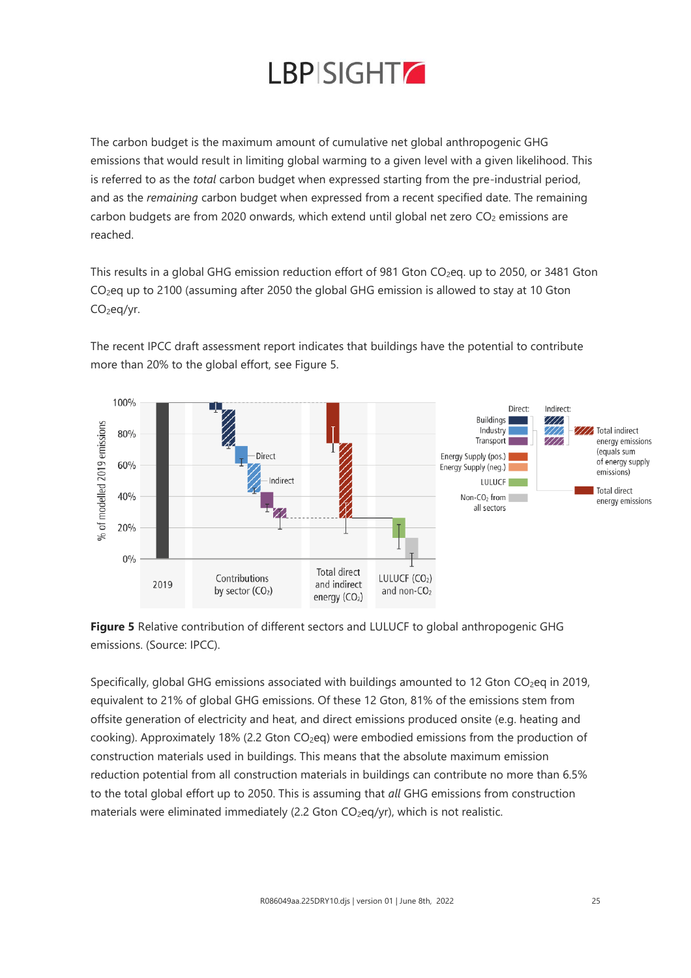![](_page_24_Picture_0.jpeg)

The carbon budget is the maximum amount of cumulative net global anthropogenic GHG emissions that would result in limiting global warming to a given level with a given likelihood. This is referred to as the *total* carbon budget when expressed starting from the pre-industrial period, and as the *remaining* carbon budget when expressed from a recent specified date. The remaining carbon budgets are from 2020 onwards, which extend until global net zero  $CO<sub>2</sub>$  emissions are reached.

This results in a global GHG emission reduction effort of 981 Gton  $CO_2$ eq. up to 2050, or 3481 Gton CO2eq up to 2100 (assuming after 2050 the global GHG emission is allowed to stay at 10 Gton CO<sub>2</sub>eq/yr.

The recent IPCC draft assessment report indicates that buildings have the potential to contribute more than 20% to the global effort, see Figure 5.

![](_page_24_Figure_4.jpeg)

**Figure 5** Relative contribution of different sectors and LULUCF to global anthropogenic GHG emissions. (Source: IPCC).

Specifically, global GHG emissions associated with buildings amounted to 12 Gton CO<sub>2</sub>eq in 2019, equivalent to 21% of global GHG emissions. Of these 12 Gton, 81% of the emissions stem from offsite generation of electricity and heat, and direct emissions produced onsite (e.g. heating and cooking). Approximately 18% (2.2 Gton CO<sub>2</sub>eq) were embodied emissions from the production of construction materials used in buildings. This means that the absolute maximum emission reduction potential from all construction materials in buildings can contribute no more than 6.5% to the total global effort up to 2050. This is assuming that *all* GHG emissions from construction materials were eliminated immediately (2.2 Gton CO<sub>2</sub>eq/yr), which is not realistic.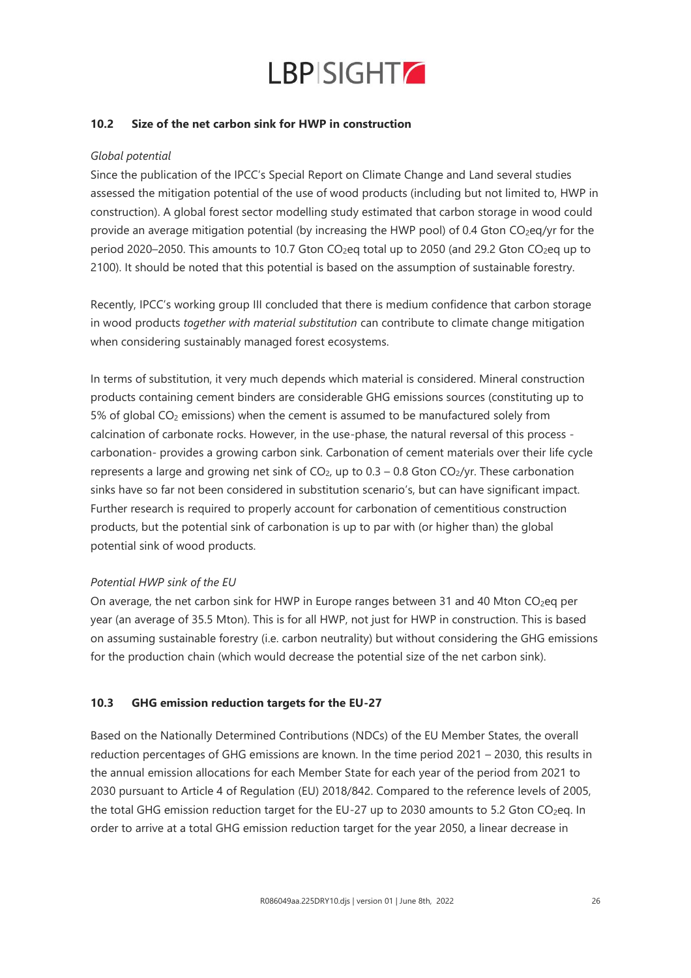![](_page_25_Picture_0.jpeg)

### **10.2 Size of the net carbon sink for HWP in construction**

#### *Global potential*

Since the publication of the IPCC's Special Report on Climate Change and Land several studies assessed the mitigation potential of the use of wood products (including but not limited to, HWP in construction). A global forest sector modelling study estimated that carbon storage in wood could provide an average mitigation potential (by increasing the HWP pool) of 0.4 Gton CO<sub>2</sub>eq/yr for the period 2020–2050. This amounts to 10.7 Gton CO<sub>2</sub>eq total up to 2050 (and 29.2 Gton CO<sub>2</sub>eq up to 2100). It should be noted that this potential is based on the assumption of sustainable forestry.

Recently, IPCC's working group III concluded that there is medium confidence that carbon storage in wood products *together with material substitution* can contribute to climate change mitigation when considering sustainably managed forest ecosystems.

In terms of substitution, it very much depends which material is considered. Mineral construction products containing cement binders are considerable GHG emissions sources (constituting up to  $5%$  of global CO<sub>2</sub> emissions) when the cement is assumed to be manufactured solely from calcination of carbonate rocks. However, in the use-phase, the natural reversal of this process carbonation- provides a growing carbon sink. Carbonation of cement materials over their life cycle represents a large and growing net sink of  $CO<sub>2</sub>$ , up to 0.3 – 0.8 Gton  $CO<sub>2</sub>/yr$ . These carbonation sinks have so far not been considered in substitution scenario's, but can have significant impact. Further research is required to properly account for carbonation of cementitious construction products, but the potential sink of carbonation is up to par with (or higher than) the global potential sink of wood products.

### *Potential HWP sink of the EU*

On average, the net carbon sink for HWP in Europe ranges between 31 and 40 Mton  $CO<sub>2</sub>$ eq per year (an average of 35.5 Mton). This is for all HWP, not just for HWP in construction. This is based on assuming sustainable forestry (i.e. carbon neutrality) but without considering the GHG emissions for the production chain (which would decrease the potential size of the net carbon sink).

### **10.3 GHG emission reduction targets for the EU-27**

Based on the Nationally Determined Contributions (NDCs) of the EU Member States, the overall reduction percentages of GHG emissions are known. In the time period 2021 – 2030, this results in the annual emission allocations for each Member State for each year of the period from 2021 to 2030 pursuant to Article 4 of Regulation (EU) 2018/842. Compared to the reference levels of 2005, the total GHG emission reduction target for the EU-27 up to 2030 amounts to 5.2 Gton CO<sub>2</sub>eq. In order to arrive at a total GHG emission reduction target for the year 2050, a linear decrease in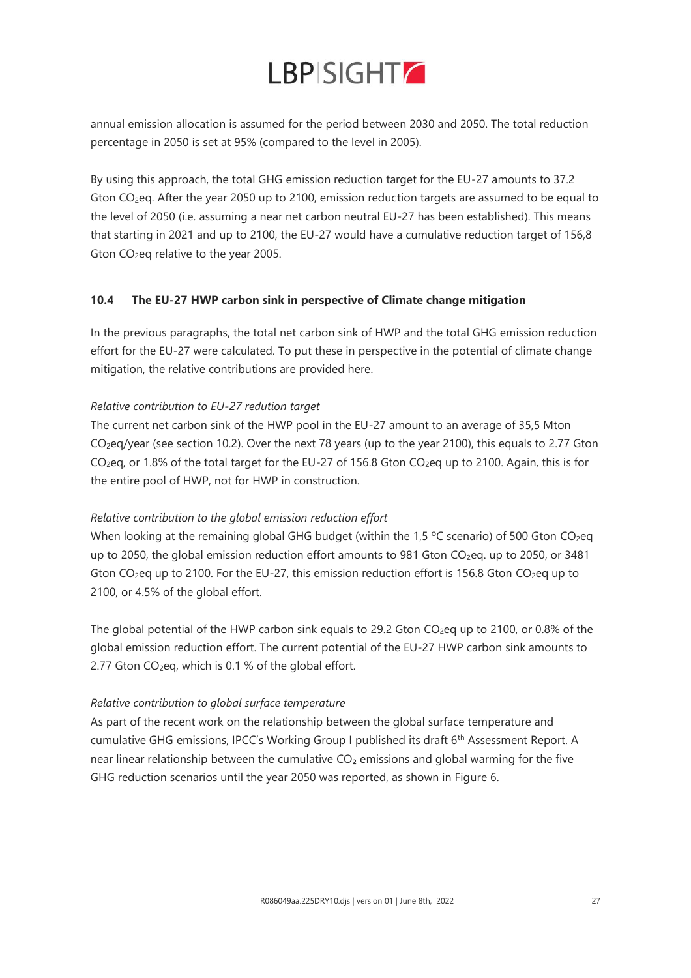annual emission allocation is assumed for the period between 2030 and 2050. The total reduction percentage in 2050 is set at 95% (compared to the level in 2005).

By using this approach, the total GHG emission reduction target for the EU-27 amounts to 37.2 Gton CO2eq. After the year 2050 up to 2100, emission reduction targets are assumed to be equal to the level of 2050 (i.e. assuming a near net carbon neutral EU-27 has been established). This means that starting in 2021 and up to 2100, the EU-27 would have a cumulative reduction target of 156,8 Gton CO2eq relative to the year 2005.

### **10.4 The EU-27 HWP carbon sink in perspective of Climate change mitigation**

In the previous paragraphs, the total net carbon sink of HWP and the total GHG emission reduction effort for the EU-27 were calculated. To put these in perspective in the potential of climate change mitigation, the relative contributions are provided here.

### *Relative contribution to EU-27 redution target*

The current net carbon sink of the HWP pool in the EU-27 amount to an average of 35,5 Mton CO2eq/year (see section 10.2). Over the next 78 years (up to the year 2100), this equals to 2.77 Gton CO<sub>2</sub>eq, or 1.8% of the total target for the EU-27 of 156.8 Gton CO<sub>2</sub>eq up to 2100. Again, this is for the entire pool of HWP, not for HWP in construction.

### *Relative contribution to the global emission reduction effort*

When looking at the remaining global GHG budget (within the 1,5  $\degree$ C scenario) of 500 Gton CO<sub>2</sub>eq up to 2050, the global emission reduction effort amounts to 981 Gton CO<sub>2</sub>eq. up to 2050, or 3481 Gton CO<sub>2</sub>eq up to 2100. For the EU-27, this emission reduction effort is 156.8 Gton CO<sub>2</sub>eq up to 2100, or 4.5% of the global effort.

The global potential of the HWP carbon sink equals to 29.2 Gton CO<sub>2</sub>eq up to 2100, or 0.8% of the global emission reduction effort. The current potential of the EU-27 HWP carbon sink amounts to 2.77 Gton  $CO<sub>2</sub>$ eq, which is 0.1 % of the global effort.

### *Relative contribution to global surface temperature*

As part of the recent work on the relationship between the global surface temperature and cumulative GHG emissions, IPCC's Working Group I published its draft 6<sup>th</sup> Assessment Report. A near linear relationship between the cumulative CO<sub>2</sub> emissions and global warming for the five GHG reduction scenarios until the year 2050 was reported, as shown in Figure 6.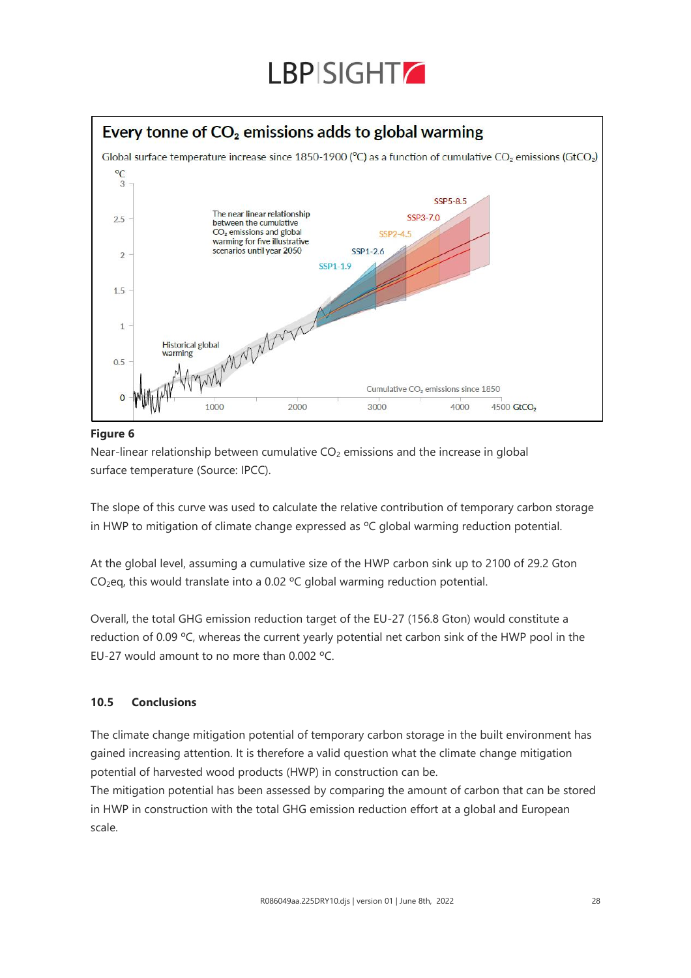![](_page_27_Picture_0.jpeg)

## Every tonne of  $CO<sub>2</sub>$  emissions adds to global warming

![](_page_27_Figure_2.jpeg)

### **Figure 6**

Near-linear relationship between cumulative  $CO<sub>2</sub>$  emissions and the increase in global surface temperature (Source: IPCC).

The slope of this curve was used to calculate the relative contribution of temporary carbon storage in HWP to mitigation of climate change expressed as ºC global warming reduction potential.

At the global level, assuming a cumulative size of the HWP carbon sink up to 2100 of 29.2 Gton CO2eq, this would translate into a 0.02 ºC global warming reduction potential.

Overall, the total GHG emission reduction target of the EU-27 (156.8 Gton) would constitute a reduction of 0.09 ºC, whereas the current yearly potential net carbon sink of the HWP pool in the EU-27 would amount to no more than 0.002 ºC.

### **10.5 Conclusions**

The climate change mitigation potential of temporary carbon storage in the built environment has gained increasing attention. It is therefore a valid question what the climate change mitigation potential of harvested wood products (HWP) in construction can be.

The mitigation potential has been assessed by comparing the amount of carbon that can be stored in HWP in construction with the total GHG emission reduction effort at a global and European scale.